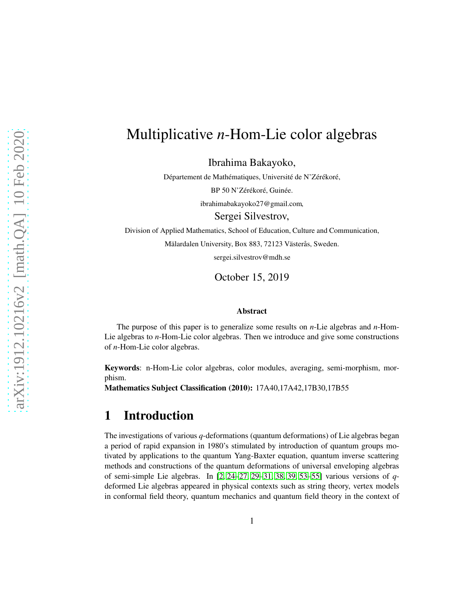# Multiplicative *n*-Hom-Lie color algebras

Ibrahima Bakayoko,

Département de Mathématiques, Université de N'Zérékoré,

BP 50 N'Zérékoré, Guinée.

ibrahimabakayoko27@gmail.com,

Sergei Silvestrov,

Division of Applied Mathematics, School of Education, Culture and Communication,

Mälardalen University, Box 883, 72123 Västerås, Sweden.

sergei.silvestrov@mdh.se

October 15, 2019

#### Abstract

The purpose of this paper is to generalize some results on *n*-Lie algebras and *n*-Hom-Lie algebras to *n*-Hom-Lie color algebras. Then we introduce and give some constructions of *n*-Hom-Lie color algebras.

Keywords: n-Hom-Lie color algebras, color modules, averaging, semi-morphism, morphism.

Mathematics Subject Classification (2010): 17A40,17A42,17B30,17B55

#### 1 Introduction

The investigations of various *q*-deformations (quantum deformations) of Lie algebras began a period of rapid expansion in 1980's stimulated by introduction of quantum groups motivated by applications to the quantum Yang-Baxter equation, quantum inverse scattering methods and constructions of the quantum deformations of universal enveloping algebras of semi-simple Lie algebras. In [\[2,](#page-26-0) [24–](#page-28-0)[27,](#page-28-1) [29–](#page-28-2)[31,](#page-28-3) [38,](#page-29-0) [39,](#page-29-1) [53](#page-30-0)[–55\]](#page-30-1) various versions of *q*deformed Lie algebras appeared in physical contexts such as string theory, vertex models in conformal field theory, quantum mechanics and quantum field theory in the context of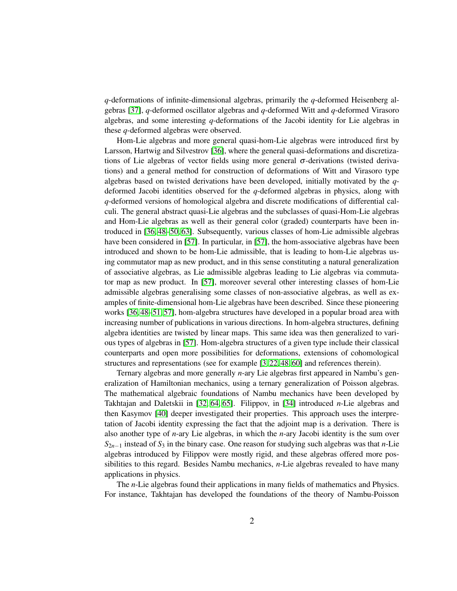*q*-deformations of infinite-dimensional algebras, primarily the *q*-deformed Heisenberg algebras [\[37\]](#page-29-2), *q*-deformed oscillator algebras and *q*-deformed Witt and *q*-deformed Virasoro algebras, and some interesting *q*-deformations of the Jacobi identity for Lie algebras in these *q*-deformed algebras were observed.

Hom-Lie algebras and more general quasi-hom-Lie algebras were introduced first by Larsson, Hartwig and Silvestrov [\[36\]](#page-28-4), where the general quasi-deformations and discretizations of Lie algebras of vector fields using more general  $\sigma$ -derivations (twisted derivations) and a general method for construction of deformations of Witt and Virasoro type algebras based on twisted derivations have been developed, initially motivated by the *q*deformed Jacobi identities observed for the *q*-deformed algebras in physics, along with *q*-deformed versions of homological algebra and discrete modifications of differential calculi. The general abstract quasi-Lie algebras and the subclasses of quasi-Hom-Lie algebras and Hom-Lie algebras as well as their general color (graded) counterparts have been introduced in [\[36,](#page-28-4) [48](#page-29-3)[–50,](#page-29-4) [63\]](#page-30-2). Subsequently, various classes of hom-Lie admissible algebras have been considered in [\[57\]](#page-30-3). In particular, in [\[57\]](#page-30-3), the hom-associative algebras have been introduced and shown to be hom-Lie admissible, that is leading to hom-Lie algebras using commutator map as new product, and in this sense constituting a natural generalization of associative algebras, as Lie admissible algebras leading to Lie algebras via commutator map as new product. In [\[57\]](#page-30-3), moreover several other interesting classes of hom-Lie admissible algebras generalising some classes of non-associative algebras, as well as examples of finite-dimensional hom-Lie algebras have been described. Since these pioneering works [\[36,](#page-28-4) [48](#page-29-3)[–51,](#page-30-4) [57\]](#page-30-3), hom-algebra structures have developed in a popular broad area with increasing number of publications in various directions. In hom-algebra structures, defining algebra identities are twisted by linear maps. This same idea was then generalized to various types of algebras in [\[57\]](#page-30-3). Hom-algebra structures of a given type include their classical counterparts and open more possibilities for deformations, extensions of cohomological structures and representations (see for example [\[3,](#page-26-1) [22,](#page-28-5) [48,](#page-29-3) [60\]](#page-30-5) and references therein).

Ternary algebras and more generally *n*-ary Lie algebras first appeared in Nambu's generalization of Hamiltonian mechanics, using a ternary generalization of Poisson algebras. The mathematical algebraic foundations of Nambu mechanics have been developed by Takhtajan and Daletskii in [\[32,](#page-28-6) [64,](#page-30-6) [65\]](#page-30-7). Filippov, in [\[34\]](#page-28-7) introduced *n*-Lie algebras and then Kasymov [\[40\]](#page-29-5) deeper investigated their properties. This approach uses the interpretation of Jacobi identity expressing the fact that the adjoint map is a derivation. There is also another type of *n*-ary Lie algebras, in which the *n*-ary Jacobi identity is the sum over *S*2*n*−<sup>1</sup> instead of *S*<sup>3</sup> in the binary case. One reason for studying such algebras was that *n*-Lie algebras introduced by Filippov were mostly rigid, and these algebras offered more possibilities to this regard. Besides Nambu mechanics, *n*-Lie algebras revealed to have many applications in physics.

The *n*-Lie algebras found their applications in many fields of mathematics and Physics. For instance, Takhtajan has developed the foundations of the theory of Nambu-Poisson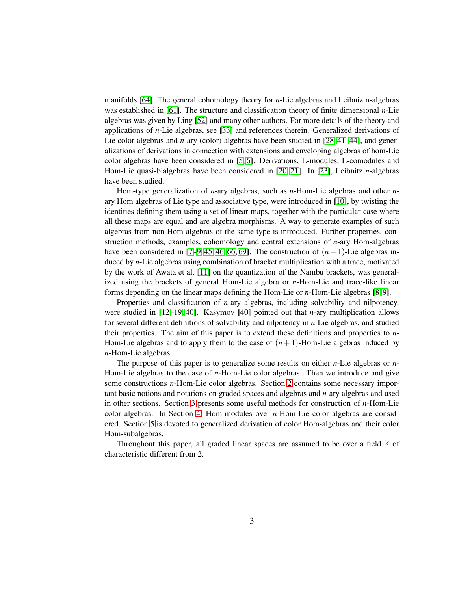manifolds [\[64\]](#page-30-6). The general cohomology theory for *n*-Lie algebras and Leibniz n-algebras was established in [\[61\]](#page-30-8). The structure and classification theory of finite dimensional *n*-Lie algebras was given by Ling [\[52\]](#page-30-9) and many other authors. For more details of the theory and applications of *n*-Lie algebras, see [\[33\]](#page-28-8) and references therein. Generalized derivations of Lie color algebras and *n*-ary (color) algebras have been studied in [\[28,](#page-28-9) [41–](#page-29-6)[44\]](#page-29-7), and generalizations of derivations in connection with extensions and enveloping algebras of hom-Lie color algebras have been considered in [\[5,](#page-27-0) [6\]](#page-27-1). Derivations, L-modules, L-comodules and Hom-Lie quasi-bialgebras have been considered in [\[20,](#page-28-10) [21\]](#page-28-11). In [\[23\]](#page-28-12), Leibnitz *n*-algebras have been studied.

Hom-type generalization of *n*-ary algebras, such as *n*-Hom-Lie algebras and other *n*ary Hom algebras of Lie type and associative type, were introduced in [\[10\]](#page-27-2), by twisting the identities defining them using a set of linear maps, together with the particular case where all these maps are equal and are algebra morphisms. A way to generate examples of such algebras from non Hom-algebras of the same type is introduced. Further properties, construction methods, examples, cohomology and central extensions of *n*-ary Hom-algebras have been considered in  $[7-9, 45, 46, 66, 69]$  $[7-9, 45, 46, 66, 69]$  $[7-9, 45, 46, 66, 69]$  $[7-9, 45, 46, 66, 69]$  $[7-9, 45, 46, 66, 69]$  $[7-9, 45, 46, 66, 69]$ . The construction of  $(n + 1)$ -Lie algebras induced by *n*-Lie algebras using combination of bracket multiplication with a trace, motivated by the work of Awata et al. [\[11\]](#page-27-5) on the quantization of the Nambu brackets, was generalized using the brackets of general Hom-Lie algebra or *n*-Hom-Lie and trace-like linear forms depending on the linear maps defining the Hom-Lie or *n*-Hom-Lie algebras [\[8,](#page-27-6) [9\]](#page-27-4).

Properties and classification of *n*-ary algebras, including solvability and nilpotency, were studied in [\[12](#page-27-7)[–19,](#page-27-8) [40\]](#page-29-5). Kasymov [\[40\]](#page-29-5) pointed out that *n*-ary multiplication allows for several different definitions of solvability and nilpotency in *n*-Lie algebras, and studied their properties. The aim of this paper is to extend these definitions and properties to *n*-Hom-Lie algebras and to apply them to the case of  $(n+1)$ -Hom-Lie algebras induced by *n*-Hom-Lie algebras.

The purpose of this paper is to generalize some results on either *n*-Lie algebras or *n*-Hom-Lie algebras to the case of *n*-Hom-Lie color algebras. Then we introduce and give some constructions *n*-Hom-Lie color algebras. Section [2](#page-3-0) contains some necessary important basic notions and notations on graded spaces and algebras and *n*-ary algebras and used in other sections. Section [3](#page-6-0) presents some useful methods for construction of *n*-Hom-Lie color algebras. In Section [4,](#page-13-0) Hom-modules over *n*-Hom-Lie color algebras are considered. Section [5](#page-15-0) is devoted to generalized derivation of color Hom-algebras and their color Hom-subalgebras.

Throughout this paper, all graded linear spaces are assumed to be over a field **K** of characteristic different from 2.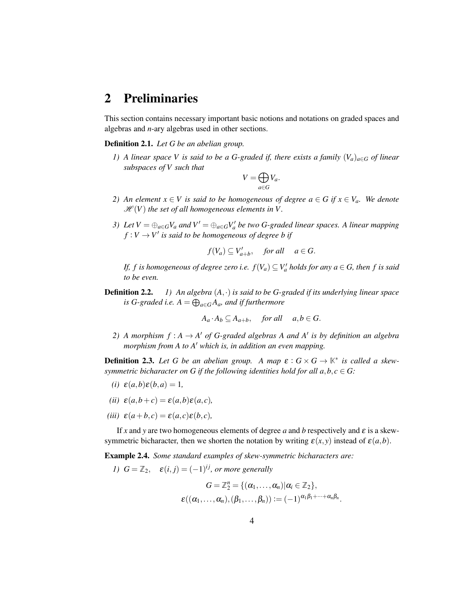#### <span id="page-3-0"></span>2 Preliminaries

This section contains necessary important basic notions and notations on graded spaces and algebras and *n*-ary algebras used in other sections.

Definition 2.1. *Let G be an abelian group.*

*1)* A linear space V is said to be a G-graded if, there exists a family  $(V_a)_{a \in G}$  of linear *subspaces of V such that*

$$
V=\bigoplus_{a\in G}V_a.
$$

- *2)* An element  $x \in V$  is said to be homogeneous of degree  $a \in G$  if  $x \in V_a$ . We denote  $\mathcal{H}(V)$  the set of all homogeneous elements in V.
- *3)* Let  $V = \bigoplus_{a \in G} V_a$  and  $V' = \bigoplus_{a \in G} V'_a$  be two G-graded linear spaces. A linear mapping  $f: V \to V'$  is said to be homogeneous of degree b if

$$
f(V_a) \subseteq V'_{a+b}
$$
, for all  $a \in G$ .

*If, f is homogeneous of degree zero i.e.*  $f(V_a) \subseteq V'_a$  *holds for any*  $a \in G$ *, then f is said to be even.*

Definition 2.2. *1) An algebra* (*A*,·) *is said to be G-graded if its underlying linear space is* G-graded *i.e.*  $A = \bigoplus_{a \in G} A_a$ *, and if furthermore* 

 $A_a \cdot A_b \subseteq A_{a+b}$ , *for all a,b* ∈ *G*.

2) A morphism  $f : A \rightarrow A'$  of G-graded algebras A and A' is by definition an algebra *morphism from A to A*′ *which is, in addition an even mapping.*

**Definition 2.3.** Let G be an abelian group. A map  $\varepsilon$  :  $G \times G \rightarrow \mathbb{K}^*$  is called a skew*symmetric bicharacter on G if the following identities hold for all*  $a, b, c \in G$ *:* 

- $\epsilon(i) \epsilon(a,b) \epsilon(b,a) = 1$
- *(ii)*  $\varepsilon(a,b+c) = \varepsilon(a,b)\varepsilon(a,c)$ ,
- $(iii)$   $\varepsilon$  $(a+b,c) = \varepsilon$  $(a,c) \varepsilon$  $(b,c)$ *,*

If *x* and *y* are two homogeneous elements of degree *a* and *b* respectively and  $\varepsilon$  is a skewsymmetric bicharacter, then we shorten the notation by writing  $\varepsilon(x, y)$  instead of  $\varepsilon(a, b)$ .

Example 2.4. *Some standard examples of skew-symmetric bicharacters are:*

*I*) 
$$
G = \mathbb{Z}_2
$$
,  $\varepsilon(i, j) = (-1)^{ij}$ , or more generally

$$
G = \mathbb{Z}_2^n = \{(\alpha_1, \ldots, \alpha_n) | \alpha_i \in \mathbb{Z}_2\},
$$
  

$$
\varepsilon((\alpha_1, \ldots, \alpha_n), (\beta_1, \ldots, \beta_n)) := (-1)^{\alpha_1 \beta_1 + \cdots + \alpha_n \beta_n}.
$$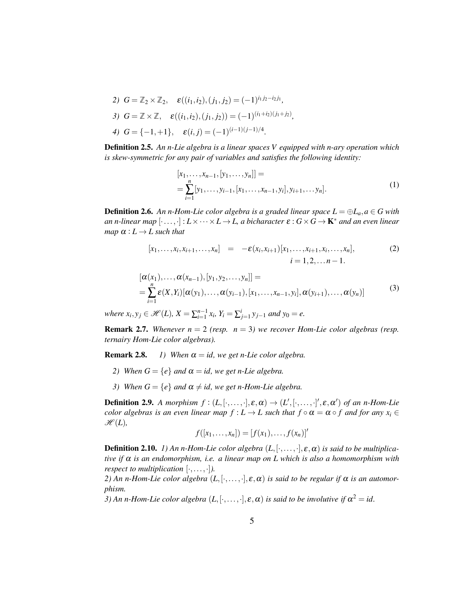- 2)  $G = \mathbb{Z}_2 \times \mathbb{Z}_2$ ,  $\varepsilon((i_1, i_2), (j_1, j_2) = (-1)^{i_1 j_2 i_2 j_1}$ ,
- *3*)  $G = \mathbb{Z} \times \mathbb{Z}, \quad \varepsilon((i_1, i_2), (j_1, j_2)) = (-1)^{(i_1 + i_2)(j_1 + j_2)},$

4) 
$$
G = \{-1,+1\}, \quad \varepsilon(i,j) = (-1)^{(i-1)(j-1)/4}.
$$

Definition 2.5. *An n-Lie algebra is a linear spaces V equipped with n-ary operation which is skew-symmetric for any pair of variables and satisfies the following identity:*

$$
[x_1, \ldots, x_{n-1}, [y_1, \ldots, y_n]] =
$$
  
= 
$$
\sum_{i=1}^n [y_1, \ldots, y_{i-1}, [x_1, \ldots, x_{n-1}, y_i], y_{i+1}, \ldots, y_n].
$$
 (1)

**Definition 2.6.** An n-Hom-Lie color algebra is a graded linear space  $L = \bigoplus L_a, a \in G$  with *an n-linear map*  $[\cdot \dots, \cdot] : L \times \dots \times L \rightarrow L$ , *a bicharacter*  $\varepsilon : G \times G \rightarrow \mathbf{K}^*$  *and an even linear map*  $\alpha: L \to L$  *such that* 

$$
[x_1, \ldots, x_i, x_{i+1}, \ldots, x_n] = -\varepsilon(x_i, x_{i+1}) [x_1, \ldots, x_{i+1}, x_i, \ldots, x_n],
$$
  
\n $i = 1, 2, \ldots n - 1.$  (2)

$$
[\alpha(x_1),..., \alpha(x_{n-1}), [y_1, y_2,..., y_n]] =
$$
  
= 
$$
\sum_{i=1}^n \varepsilon(X, Y_i) [\alpha(y_1),..., \alpha(y_{i-1}), [x_1,..., x_{n-1}, y_i], \alpha(y_{i+1}),..., \alpha(y_n)]
$$
 (3)

*where*  $x_i, y_j \in \mathcal{H}(L)$ ,  $X = \sum_{i=1}^{n-1} x_i$ ,  $Y_i = \sum_{j=1}^{i} y_{j-1}$  *and*  $y_0 = e$ .

**Remark 2.7.** *Whenever*  $n = 2$  *(resp.*  $n = 3$ *) we recover Hom-Lie color algebras (resp. ternairy Hom-Lie color algebras).*

**Remark 2.8.** *1)* When  $\alpha = id$ , we get n-Lie color algebra.

- *2)* When  $G = \{e\}$  *and*  $\alpha = id$ , we get *n*-Lie algebra.
- *3)* When  $G = \{e\}$  *and*  $\alpha \neq id$ , we get *n*-Hom-Lie algebra.

**Definition 2.9.** A morphism  $f : (L, [\cdot, \ldots, \cdot], \varepsilon, \alpha) \to (L', [\cdot, \ldots, \cdot]', \varepsilon, \alpha')$  of an n-Hom-Lie *color algebras is an even linear map*  $f : L \to L$  such that  $f \circ \alpha = \alpha \circ f$  and for any  $x_i \in$  $\mathscr{H}(L)$ ,

$$
f([x_1,\ldots,x_n]) = [f(x_1),\ldots,f(x_n)]'
$$

**Definition 2.10.** *1) An n-Hom-Lie color algebra*  $(L, [\cdot, \ldots, \cdot], \varepsilon, \alpha)$  *is said to be multiplicative if* <sup>α</sup> *is an endomorphism, i.e. a linear map on L which is also a homomorphism with respect to multiplication*  $[\cdot, \ldots, \cdot]$ *).* 

2) An n-Hom-Lie color algebra  $(L, [\cdot, \ldots, \cdot], \varepsilon, \alpha)$  *is said to be regular if*  $\alpha$  *is an automorphism.*

*3*) An n-Hom-Lie color algebra  $(L, [\cdot, \ldots, \cdot], \varepsilon, \alpha)$  is said to be involutive if  $\alpha^2 = id$ .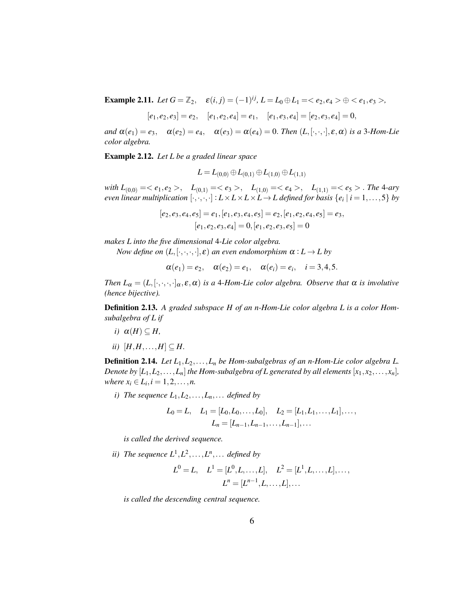**Example 2.11.** *Let*  $G = \mathbb{Z}_2$ ,  $\varepsilon(i, j) = (-1)^{ij}$ ,  $L = L_0 \oplus L_1 = \langle e_2, e_4 \rangle \oplus \langle e_1, e_3 \rangle$ ,

$$
[e_1, e_2, e_3] = e_2
$$
,  $[e_1, e_2, e_4] = e_1$ ,  $[e_1, e_3, e_4] = [e_2, e_3, e_4] = 0$ ,

*and*  $\alpha(e_1) = e_3$ ,  $\alpha(e_2) = e_4$ ,  $\alpha(e_3) = \alpha(e_4) = 0$ . *Then*  $(L, [\cdot, \cdot, \cdot], \varepsilon, \alpha)$  *is a* 3*-Hom-Lie color algebra.*

Example 2.12. *Let L be a graded linear space*

$$
L\!=\!L_{(0,0)}\!\oplus\!L_{(0,1)}\!\oplus\!L_{(1,0)}\!\oplus\!L_{(1,1)}
$$

*with*  $L_{(0,0)} = \langle e_1, e_2 \rangle$ ,  $L_{(0,1)} = \langle e_3 \rangle$ ,  $L_{(1,0)} = \langle e_4 \rangle$ ,  $L_{(1,1)} = \langle e_5 \rangle$ . *The* 4*-ary even linear multiplication*  $[\cdot,\cdot,\cdot,\cdot]$  :  $L \times L \times L \times L \to L$  *defined for basis*  $\{e_i \mid i = 1,\ldots,5\}$  *by* 

$$
[e_2,e_3,e_4,e_5]=e_1,[e_1,e_3,e_4,e_5]=e_2,[e_1,e_2,e_4,e_5]=e_3,
$$
  

$$
[e_1,e_2,e_3,e_4]=0,[e_1,e_2,e_3,e_5]=0
$$

*makes L into the five dimensional* 4*-Lie color algebra.*

*Now define on*  $(L, [\cdot, \cdot, \cdot], \varepsilon)$  *an even endomorphism*  $\alpha : L \to L$  *by* 

$$
\alpha(e_1) = e_2, \quad \alpha(e_2) = e_1, \quad \alpha(e_i) = e_i, \quad i = 3, 4, 5.
$$

*Then*  $L_{\alpha} = (L, [\cdot, \cdot, \cdot, \cdot]_{\alpha}, \varepsilon, \alpha)$  *is a* 4*-Hom-Lie color algebra. Observe that*  $\alpha$  *is involutive (hence bijective).*

Definition 2.13. *A graded subspace H of an n-Hom-Lie color algebra L is a color Homsubalgebra of L if*

- *i*)  $\alpha(H) \subset H$ ,
- *ii*)  $[H,H,\ldots,H]$  ⊆ *H*.

Definition 2.14. *Let L*1,*L*2,...,*L<sup>n</sup> be Hom-subalgebras of an n-Hom-Lie color algebra L. Denote by*  $[L_1, L_2, \ldots, L_n]$  *the Hom-subalgebra of L generated by all elements*  $[x_1, x_2, \ldots, x_n]$ *, where*  $x_i \in L_i, i = 1, 2, ..., n$ .

*i*) The sequence  $L_1, L_2, \ldots, L_n, \ldots$  *defined by* 

$$
L_0 = L, \quad L_1 = [L_0, L_0, \dots, L_0], \quad L_2 = [L_1, L_1, \dots, L_1], \dots,
$$

$$
L_n = [L_{n-1}, L_{n-1}, \dots, L_{n-1}], \dots
$$

*is called the derived sequence.*

*ii*) The sequence  $L^1, L^2, \ldots, L^n, \ldots$  defined by

$$
L^0 = L
$$
,  $L^1 = [L^0, L, ..., L]$ ,  $L^2 = [L^1, L, ..., L]$ , ...,  
 $L^n = [L^{n-1}, L, ..., L]$ , ...

*is called the descending central sequence.*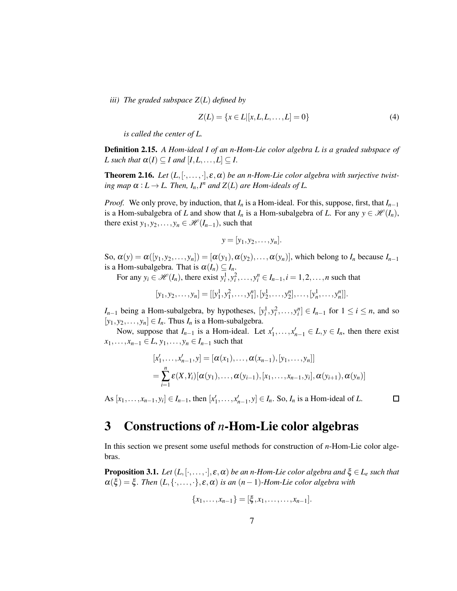*iii) The graded subspace Z*(*L*) *defined by*

<span id="page-6-1"></span>
$$
Z(L) = \{x \in L|[x, L, L, \dots, L] = 0\}
$$
\n(4)

*is called the center of L.*

Definition 2.15. *A Hom-ideal I of an n-Hom-Lie color algebra L is a graded subspace of L* such that  $\alpha(I) \subseteq I$  and  $[I, L, \ldots, L] \subseteq I$ .

**Theorem 2.16.** Let  $(L, [\cdot, \ldots, \cdot], \varepsilon, \alpha)$  be an *n*-Hom-Lie color algebra with surjective twist*ing map*  $\alpha: L \to L$ . Then,  $I_n, I^n$  and  $Z(L)$  are Hom-ideals of L.

*Proof.* We only prove, by induction, that  $I_n$  is a Hom-ideal. For this, suppose, first, that  $I_{n-1}$ is a Hom-subalgebra of *L* and show that  $I_n$  is a Hom-subalgebra of *L*. For any  $y \in \mathcal{H}(I_n)$ , there exist  $y_1, y_2,..., y_n \in \mathcal{H}(I_{n-1})$ , such that

$$
y=[y_1,y_2,\ldots,y_n].
$$

So,  $\alpha(y) = \alpha([y_1, y_2, \ldots, y_n]) = [\alpha(y_1), \alpha(y_2), \ldots, \alpha(y_n)]$ , which belong to  $I_n$  because  $I_{n-1}$ is a Hom-subalgebra. That is  $\alpha(I_n) \subseteq I_n$ .

For any  $y_i \in \mathcal{H}(I_n)$ , there exist  $y_i^1, y_i^2, \ldots, y_i^n \in I_{n-1}, i = 1, 2, \ldots, n$  such that

$$
[y_1, y_2, \dots, y_n] = [[y_1^1, y_1^2, \dots, y_1^n], [y_2^1, \dots, y_2^n], \dots, [y_n^1, \dots, y_n^n]].
$$

*I*<sub>*n*−1</sub> being a Hom-subalgebra, by hypotheses,  $[y_i^1, y_i^2, \ldots, y_i^n]$  ∈ *I<sub>n−1</sub>* for  $1 \le i \le n$ , and so  $[y_1, y_2, \ldots, y_n] \in I_n$ . Thus  $I_n$  is a Hom-subalgebra.

Now, suppose that  $I_{n-1}$  is a Hom-ideal. Let  $x'_1, \ldots, x'_{n-1} \in L, y \in I_n$ , then there exist *x*<sub>1</sub>,...,*x*<sub>*n*−1</sub> ∈ *L*, *y*<sub>1</sub>,..., *y*<sub>*n*</sub> ∈ *I*<sub>*n*−1</sub> such that

$$
[x'_1, ..., x'_{n-1}, y] = [\alpha(x_1), ..., \alpha(x_{n-1}), [y_1, ..., y_n]]
$$
  
= 
$$
\sum_{i=1}^n \varepsilon(X, Y_i) [\alpha(y_1), ..., \alpha(y_{i-1}), [x_1, ..., x_{n-1}, y_i], \alpha(y_{i+1}), \alpha(y_n)]
$$

 $\Box$ 

As  $[x_1, \ldots, x_{n-1}, y_i] \in I_{n-1}$ , then  $[x'_1, \ldots, x'_{n-1}, y] \in I_n$ . So,  $I_n$  is a Hom-ideal of *L*.

#### <span id="page-6-0"></span>3 Constructions of *n*-Hom-Lie color algebras

In this section we present some useful methods for construction of *n*-Hom-Lie color algebras.

**Proposition 3.1.** Let  $(L, [\cdot, \ldots, \cdot], \varepsilon, \alpha)$  be an *n*-Hom-Lie color algebra and  $\xi \in L_e$  such that  $\alpha(\xi) = \xi$ . Then  $(L, \{\cdot, \ldots, \cdot\}, \varepsilon, \alpha)$  *is an* (*n* − 1)*-Hom-Lie color algebra with* 

$$
\{x_1,\ldots,x_{n-1}\}=[\xi,x_1,\ldots,\ldots,x_{n-1}].
$$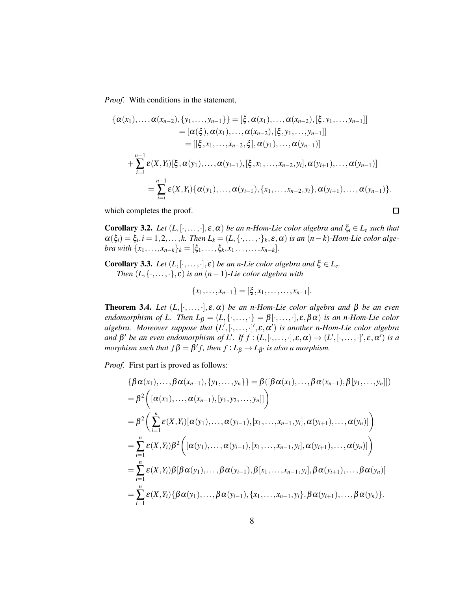*Proof.* With conditions in the statement,

$$
\{\alpha(x_1),..., \alpha(x_{n-2}), \{y_1,...,y_{n-1}\}\} = [\xi, \alpha(x_1),..., \alpha(x_{n-2}), [\xi, y_1,...,y_{n-1}]]
$$
  
\n
$$
= [\alpha(\xi), \alpha(x_1),..., \alpha(x_{n-2}), [\xi, y_1,...,y_{n-1}]]
$$
  
\n
$$
= [[\xi, x_1,...,x_{n-2}, \xi], \alpha(y_1),..., \alpha(y_{n-1})]
$$
  
\n
$$
+ \sum_{i=i}^{n-1} \varepsilon(X, Y_i) [\xi, \alpha(y_1),..., \alpha(y_{i-1}), [\xi, x_1,...,x_{n-2}, y_i], \alpha(y_{i+1}),..., \alpha(y_{n-1})]
$$
  
\n
$$
= \sum_{i=i}^{n-1} \varepsilon(X, Y_i) {\alpha(y_1),..., \alpha(y_{i-1}), \{x_1,...,x_{n-2}, y_i\}, \alpha(y_{i+1}),..., \alpha(y_{n-1})\}}.
$$

which completes the proof.

**Corollary 3.2.** *Let*  $(L, [\cdot, \ldots, \cdot], \varepsilon, \alpha)$  *be an n-Hom-Lie color algebra and*  $\xi_i \in L_e$  *such that*  $\alpha(\xi_i) = \xi_i, i = 1, 2, \ldots, k$ . Then  $L_k = (L, \{\cdot, \ldots, \cdot\}_k, \varepsilon, \alpha)$  is an  $(n-k)$ -Hom-Lie color alge*bra with*  $\{x_1, \ldots, x_{n-k}\}_k = [\xi_1, \ldots, \xi_k, x_1 \ldots, x_{n-k}].$ 

 $\Box$ 

Corollary 3.3. *Let*  $(L, [\cdot, \ldots, \cdot], \varepsilon)$  *be an n-Lie color algebra and*  $\xi \in L_e$ *. Then*  $(L, \{ \cdot, \ldots, \cdot \}, \varepsilon)$  *is an*  $(n-1)$ *-Lie color algebra with* 

$$
\{x_1,\ldots,x_{n-1}\}=[\xi,x_1,\ldots,\ldots,x_{n-1}].
$$

**Theorem 3.4.** *Let*  $(L, [\cdot, \ldots, \cdot], \varepsilon, \alpha)$  *be an n-Hom-Lie color algebra and*  $\beta$  *be an even endomorphism of L. Then*  $L_{\beta} = (L, \{\cdot, \ldots, \cdot\} = \beta[\cdot, \ldots, \cdot], \varepsilon, \beta \alpha)$  *is an n-Hom-Lie color algebra. Moreover suppose that* (*L* ′ ,[·,...,·] ′ ,ε,<sup>α</sup> ′ ) *is another n-Hom-Lie color algebra and*  $\beta'$  *be an even endomorphism of L'. If*  $f$  :  $(L, [\cdot, \ldots, \cdot], \varepsilon, \alpha) \to (L', [\cdot, \ldots, \cdot]', \varepsilon, \alpha')$  *is a morphism such that*  $f\beta = \beta' f$ , then  $f: L_{\beta} \to L_{\beta'}$  *is also a morphism.* 

*Proof.* First part is proved as follows:

$$
\{\beta \alpha(x_1),..., \beta \alpha(x_{n-1}), \{y_1,...,y_n\}\} = \beta([\beta \alpha(x_1),..., \beta \alpha(x_{n-1}), \beta[y_1,...,y_n]])
$$
  
\n
$$
= \beta^2 ([\alpha(x_1),..., \alpha(x_{n-1}), [y_1, y_2,...,y_n]])
$$
  
\n
$$
= \beta^2 (\sum_{i=1}^n \varepsilon(x, Y_i) [\alpha(y_1),..., \alpha(y_{i-1}), [x_1,...,x_{n-1}, y_i], \alpha(y_{i+1}),..., \alpha(y_n)])
$$
  
\n
$$
= \sum_{i=1}^n \varepsilon(x, Y_i) \beta^2 ([\alpha(y_1),..., \alpha(y_{i-1}), [x_1,...,x_{n-1}, y_i], \alpha(y_{i+1}),..., \alpha(y_n)])
$$
  
\n
$$
= \sum_{i=1}^n \varepsilon(x, Y_i) \beta [\beta \alpha(y_1),..., \beta \alpha(y_{i-1}), \beta[x_1,...,x_{n-1}, y_i], \beta \alpha(y_{i+1}),..., \beta \alpha(y_n)]
$$
  
\n
$$
= \sum_{i=1}^n \varepsilon(x, Y_i) {\beta \alpha(y_1),..., \beta \alpha(y_{i-1}), [x_1,...,x_{n-1}, y_i], \beta \alpha(y_{i+1}),..., \beta \alpha(y_n)].
$$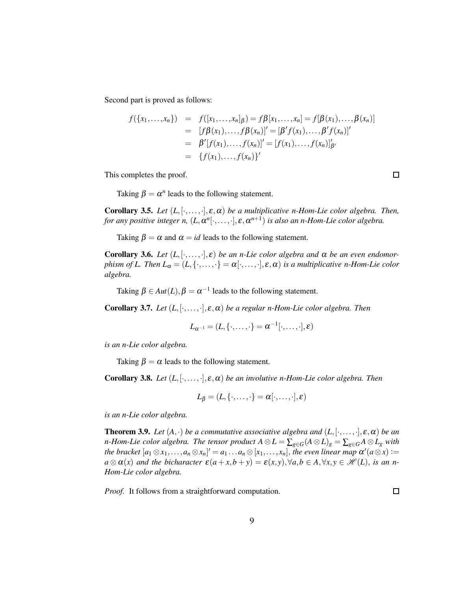Second part is proved as follows:

$$
f(\{x_1,...,x_n\}) = f([x_1,...,x_n]_\beta) = f\beta[x_1,...,x_n] = f[\beta(x_1),..., \beta(x_n)]
$$
  
\n
$$
= [f\beta(x_1),...,f\beta(x_n)]' = [\beta' f(x_1),..., \beta' f(x_n)]'
$$
  
\n
$$
= \beta' [f(x_1),..., f(x_n)]' = [f(x_1),..., f(x_n)]'_{\beta'}
$$
  
\n
$$
= \{f(x_1),..., f(x_n)\}'
$$

This completes the proof.

 $\Box$ 

Taking  $\beta = \alpha^n$  leads to the following statement.

**Corollary 3.5.** *Let*  $(L, [\cdot, \ldots, \cdot], \varepsilon, \alpha)$  *be a multiplicative n-Hom-Lie color algebra. Then,* for any positive integer n,  $(L, \alpha^n[\cdot, \dots, \cdot], \varepsilon, \alpha^{n+1})$  is also an n-Hom-Lie color algebra.

Taking  $\beta = \alpha$  and  $\alpha = id$  leads to the following statement.

Corollary 3.6. Let  $(L, [\cdot, \ldots, \cdot], \varepsilon)$  *be an n-Lie color algebra and*  $\alpha$  *be an even endomorphism of L. Then*  $L_{\alpha} = (L, \{\cdot, \ldots, \cdot\} = \alpha[\cdot, \ldots, \cdot], \varepsilon, \alpha)$  *is a multiplicative n-Hom-Lie color algebra.*

Taking  $\beta \in Aut(L), \beta = \alpha^{-1}$  leads to the following statement.

**Corollary 3.7.** *Let*  $(L, [\cdot, \ldots, \cdot], \varepsilon, \alpha)$  *be a regular n-Hom-Lie color algebra. Then* 

$$
L_{\alpha^{-1}}=(L,\{\cdot,\ldots,\cdot\}=\alpha^{-1}[\cdot,\ldots,\cdot],\varepsilon)
$$

*is an n-Lie color algebra.*

Taking  $\beta = \alpha$  leads to the following statement.

**Corollary 3.8.** *Let*  $(L, [\cdot, \ldots, \cdot], \varepsilon, \alpha)$  *be an involutive n-Hom-Lie color algebra. Then* 

$$
L_{\beta} = (L, \{\cdot, \ldots, \cdot\} = \alpha[\cdot, \ldots, \cdot], \varepsilon)
$$

*is an n-Lie color algebra.*

<span id="page-8-0"></span>**Theorem 3.9.** *Let*  $(A, \cdot)$  *be a commutative associative algebra and*  $(L, [\cdot, \ldots, \cdot], \varepsilon, \alpha)$  *be an n*-*Hom-Lie color algebra. The tensor product*  $A \otimes L = \sum_{g \in G} (A \otimes L)_{g} = \sum_{g \in G} A \otimes L_{g}$  *with the bracket*  $[a_1 \otimes x_1, \ldots, a_n \otimes x_n]' = a_1 \ldots a_n \otimes [x_1, \ldots, x_n]$ , *the even linear map*  $\alpha'(a \otimes x) :=$  $a \otimes a(x)$  *and the bicharacter*  $\varepsilon(a+x,b+y) = \varepsilon(x,y), \forall a,b \in A, \forall x,y \in \mathcal{H}(L)$ , *is an n*-*Hom-Lie color algebra.*

*Proof.* It follows from a straightforward computation.

囗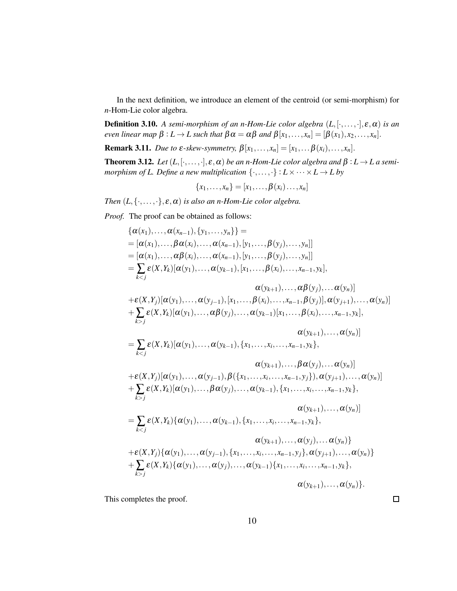In the next definition, we introduce an element of the centroid (or semi-morphism) for *n*-Hom-Lie color algebra.

Definition 3.10. *A semi-morphism of an n-Hom-Lie color algebra* (*L*,[·,...,·],ε,α) *is an even linear map*  $\beta: L \to L$  *such that*  $\beta \alpha = \alpha \beta$  *and*  $\beta[x_1, \ldots, x_n] = [\beta(x_1), x_2, \ldots, x_n]$ .

**Remark 3.11.** *Due to*  $\varepsilon$ *-skew-symmetry,*  $\beta[x_1,\ldots,x_n]=[x_1,\ldots,\beta(x_i),\ldots,x_n].$ 

<span id="page-9-0"></span>**Theorem 3.12.** *Let*  $(L, [\cdot, \ldots, \cdot], \varepsilon, \alpha)$  *be an n-Hom-Lie color algebra and*  $\beta: L \to L$  *a semimorphism of L. Define a new multiplication*  $\{\cdot, \ldots, \cdot\} : L \times \cdots \times L \rightarrow L$  by

$$
\{x_1,\ldots,x_n\}=[x_1,\ldots,\beta(x_i)\ldots,x_n]
$$

*Then*  $(L, \{ \cdot, \ldots, \cdot \}, \varepsilon, \alpha)$  *is also an n-Hom-Lie color algebra.* 

*Proof.* The proof can be obtained as follows:

$$
{\alpha(x_1),..., \alpha(x_{n-1}), {y_1,..., y_n} } =
$$
\n
$$
= [\alpha(x_1),..., \beta \alpha(x_i),..., \alpha(x_{n-1}), [y_1,..., \beta(y_j),..., y_n]]
$$
\n
$$
= [\alpha(x_1),..., \beta \alpha(x_i),..., \alpha(x_{n-1}), [y_1,..., \beta(y_j),..., y_n]]
$$
\n
$$
= \sum_{k < j} \varepsilon(X, Y_k)[\alpha(y_1),..., \alpha(y_{k-1}), [x_1,..., \beta(x_i),..., x_{n-1}, y_k],
$$
\n
$$
\alpha(y_{k+1}),..., \alpha \beta(y_j),... \alpha(y_n)]
$$
\n+
$$
\varepsilon(X, Y_j)[\alpha(y_1),..., \alpha(y_{j-1}), [x_1,..., \beta(x_i),..., x_{n-1}, \beta(y_j)], \alpha(y_{j+1}),..., \alpha(y_n)]
$$
\n+
$$
\sum_{k > j} \varepsilon(X, Y_k)[\alpha(y_1),..., \alpha \beta(y_j),..., \alpha(y_{k-1})[x_1,..., \beta(x_i),..., x_{n-1}, y_k],
$$
\n
$$
\alpha(y_{k+1}),..., \alpha(y_n)]
$$
\n
$$
= \sum_{k < j} \varepsilon(X, Y_k)[\alpha(y_1),..., \alpha(y_{k-1}), {x_1,..., x_i,..., x_{n-1}, y_k},
$$
\n
$$
\alpha(y_{k+1}),..., \beta \alpha(y_j),... \alpha(y_n)]
$$
\n+
$$
\varepsilon(X, Y_j)[\alpha(y_1),..., \alpha(y_{j-1}), \beta({x_1,..., x_i,..., x_{n-1}, y_j}), \alpha(y_{j+1}),..., \alpha(y_n)]
$$
\n+
$$
\varepsilon(X, Y_k)[\alpha(y_1),..., \beta \alpha(y_j),..., \alpha(y_{k-1}), {x_1,..., x_i,..., x_{n-1}, y_k},
$$
\n
$$
\alpha(y_{k+1}),..., \alpha(y_n)]
$$
\n
$$
= \sum_{k < j} \varepsilon(X, Y_k){\alpha(y_1),..., \alpha(y_{k-1}), {x_1,..., x_i,..., x_{n-1}, y_k},
$$
\n
$$
\alpha(y_{k+1}),..., \alpha(y_n)]
$$
\n+
$$
\varepsilon(X, Y_j)[\alpha(y_1),..., \alpha(y_{j-1}), {x_1,...,
$$

This completes the proof.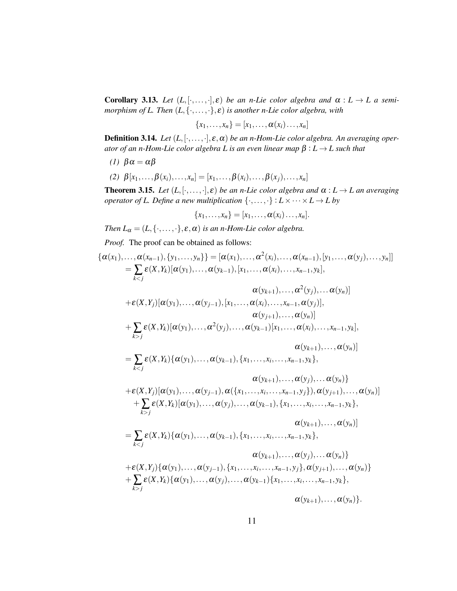**Corollary 3.13.** Let  $(L, [\cdot, \ldots, \cdot], \varepsilon)$  be an *n*-Lie color algebra and  $\alpha : L \to L$  a semi*morphism of L. Then* (*L*,{·,...,·},ε) *is another n-Lie color algebra, with*

$$
\{x_1,\ldots,x_n\}=[x_1,\ldots,\alpha(x_i)\ldots,x_n]
$$

**Definition 3.14.** Let  $(L, [\cdot, \ldots, \cdot], \varepsilon, \alpha)$  be an *n*-Hom-Lie color algebra. An averaging oper*ator of an n-Hom-Lie color algebra L is an even linear map* β : *L* → *L such that*

- *(1)*  $βα = αβ$
- *(2)* β[*x*1,...,β(*xi*),...,*xn*] = [*x*1,...,β(*xi*),...,β(*xj*),...,*xn*]

**Theorem 3.15.** *Let*  $(L, [\cdot, \ldots, \cdot], \varepsilon)$  *be an n-Lie color algebra and*  $\alpha : L \to L$  *an averaging operator of L. Define a new multiplication*  $\{\cdot, \ldots, \cdot\}: L \times \cdots \times L \rightarrow L$  by

 ${x_1, \ldots, x_n} = [x_1, \ldots, \alpha(x_i) \ldots, x_n].$ 

*Then*  $L_{\alpha} = (L, \{ \cdot, \ldots, \cdot \}, \varepsilon, \alpha)$  *is an n-Hom-Lie color algebra.* 

*Proof.* The proof can be obtained as follows:

$$
\{\alpha(x_1),..., \alpha(x_{n-1}), \{y_1,...,y_n\}\} = [\alpha(x_1),..., \alpha^2(x_i),..., \alpha(x_{n-1}), [y_1,..., \alpha(y_j),..., y_n]]
$$
  
\n
$$
= \sum_{k < j} \varepsilon(X, Y_k)[\alpha(y_1),..., \alpha(y_{k-1}), [x_1,..., \alpha(x_i),..., x_{n-1}, y_k],
$$
  
\n
$$
\alpha(y_{k+1}),..., \alpha^2(y_j),... \alpha(y_n)]
$$
  
\n
$$
+ \varepsilon(X, Y_j)[\alpha(y_1),..., \alpha(y_{j-1}), [x_1,..., \alpha(x_i),..., x_{n-1}, \alpha(y_j)],
$$
  
\n
$$
\alpha(y_{j+1}),..., \alpha(y_n)]
$$
  
\n
$$
+ \sum_{k > j} \varepsilon(X, Y_k)[\alpha(y_1),..., \alpha^2(y_j),..., \alpha(y_{k-1})[x_1,..., \alpha(x_i),..., x_{n-1}, y_k],
$$
  
\n
$$
\alpha(y_{k+1}),..., \alpha(y_n)]
$$
  
\n
$$
= \sum_{k < j} \varepsilon(X, Y_k)\{\alpha(y_1),..., \alpha(y_{k-1}), \{x_1,...,x_i,..., x_{n-1}, y_j\},\n\alpha(y_{j+1}),..., \alpha(y_n)\}
$$
  
\n
$$
+ \varepsilon(X, Y_j)[\alpha(y_1),..., \alpha(y_{j-1}), \alpha(\{x_1,...,x_i,..., x_{n-1}, y_j\}), \alpha(y_{j+1}),..., \alpha(y_n)]
$$
  
\n
$$
+ \sum_{k > j} \varepsilon(X, Y_k)[\alpha(y_1),..., \alpha(y_j),..., \alpha(y_{k-1}), \{x_1,...,x_i,..., x_{n-1}, y_k\},
$$
  
\n
$$
\alpha(y_{k+1}),..., \alpha(y_n)]
$$
  
\n
$$
= \sum_{k < j} \varepsilon(X, Y_k)\{\alpha(y_1),..., \alpha(y_{k-1}), \{x_1,...,x_i,..., x_{n-1}, y_j\}, \alpha(y_{j+1}),..., \alpha(y_n)\}
$$
  
\n
$$
+ \varepsilon(X, Y_j)\{\alpha(y_1),..., \alpha(y_{j-1}), \{x_1,...,x_i,..., x_{n-1}, y_j\}, \alpha(y_{j+1}),..., \alpha(y_n)\
$$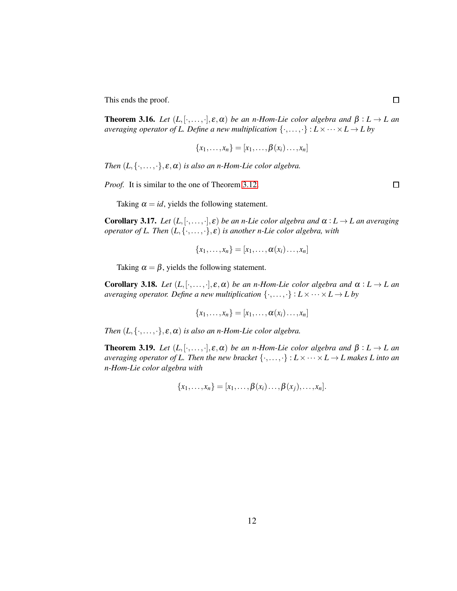This ends the proof.

**Theorem 3.16.** *Let*  $(L, [\cdot, \ldots, \cdot], \varepsilon, \alpha)$  *be an n-Hom-Lie color algebra and*  $\beta : L \to L$  *an averaging operator of L. Define a new multiplication*  $\{\cdot, \ldots, \cdot\} : L \times \cdots \times L \rightarrow L$  by

$$
\{x_1,\ldots,x_n\}=[x_1,\ldots,\beta(x_i)\ldots,x_n]
$$

*Then*  $(L, \{ \cdot, \ldots, \cdot \}, \varepsilon, \alpha)$  *is also an n-Hom-Lie color algebra.* 

*Proof.* It is similar to the one of Theorem [3.12.](#page-9-0)

 $\Box$ 

 $\Box$ 

Taking  $\alpha = id$ , yields the following statement.

**Corollary 3.17.** *Let*  $(L, [\cdot, \ldots, \cdot], \varepsilon)$  *be an n-Lie color algebra and*  $\alpha : L \to L$  *an averaging operator of L. Then* (*L*,{·,...,·},ε) *is another n-Lie color algebra, with*

$$
\{x_1,\ldots,x_n\}=[x_1,\ldots,\alpha(x_i)\ldots,x_n]
$$

Taking  $\alpha = \beta$ , yields the following statement.

**Corollary 3.18.** *Let*  $(L, [\cdot, \ldots, \cdot], \varepsilon, \alpha)$  *be an n-Hom-Lie color algebra and*  $\alpha : L \to L$  *an averaging operator. Define a new multiplication*  $\{\cdot, \ldots, \cdot\} : L \times \cdots \times L \rightarrow L$  by

$$
\{x_1,\ldots,x_n\}=[x_1,\ldots,\alpha(x_i)\ldots,x_n]
$$

*Then*  $(L, \{\cdot, \ldots, \cdot\}, \varepsilon, \alpha)$  *is also an n-Hom-Lie color algebra.* 

**Theorem 3.19.** *Let*  $(L, [\cdot, \ldots, \cdot], \varepsilon, \alpha)$  *be an n-Hom-Lie color algebra and*  $\beta : L \to L$  *an averaging operator of L. Then the new bracket*  $\{\cdot, \ldots, \cdot\} : L \times \cdots \times L \rightarrow L$  makes L into an *n-Hom-Lie color algebra with*

$$
\{x_1,\ldots,x_n\}=[x_1,\ldots,\boldsymbol{\beta}(x_i)\ldots,\boldsymbol{\beta}(x_j),\ldots,x_n].
$$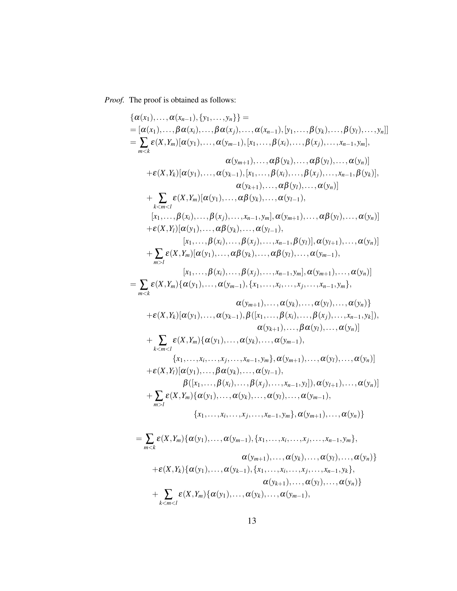*Proof.* The proof is obtained as follows:

{
$$
\{\alpha(x_1), ..., \alpha(x_{n-1}), \{y_1, ..., y_n\}\}
$$
}  
\n= [ $\alpha(x_1), ..., \beta \alpha(x_i), ..., \beta \alpha(x_j), ..., \alpha(x_{n-1}), [y_1, ..., \beta(y_k), ..., \beta(y_l), ..., y_n]$ ]  
\n=  $\sum_{m < k} \varepsilon(X, Y_m)[\alpha(y_1), ..., \alpha(y_{m-1}), [x_1, ..., \beta(x_i), ..., \beta(x_j), ..., x_{n-1}, y_m],$   
\n $\alpha(y_{m+1}), ..., \alpha \beta(y_k), ..., \alpha \beta(y_l), ..., \alpha(y_n)]$   
\n+  $\varepsilon(X, Y_k)[\alpha(y_1), ..., \alpha(y_{k-1}), [x_1, ..., \beta(x_i), ..., \beta(x_j), ..., x_{n-1}, \beta(y_k)],$   
\n $\alpha(y_{k+1}), ..., \alpha \beta(y_1), ..., \alpha(y_n)]$   
\n+  $\sum_{k < m < l} \varepsilon(X, Y_m)[\alpha(y_1), ..., \alpha \beta(y_k), ..., \alpha(y_{l-1}),$   
\n[ $x_1, ..., \beta(x_i), ..., \beta(x_j), ..., x_{n-1}, y_m], \alpha(y_{m+1}), ..., \alpha \beta(y_l), ..., \alpha(y_n)]$   
\n+  $\varepsilon(X, Y_l)[\alpha(y_1), ..., \alpha \beta(y_k), ..., \alpha(y_{l-1}),$   
\n[ $x_1, ..., \beta(x_i), ..., \beta(x_j), ..., x_{n-1}, \beta(y_l)], \alpha(y_{l+1}), ..., \alpha(y_n)]$   
\n+  $\sum_{m \leq l} \varepsilon(X, Y_m)[\alpha(y_1), ..., \alpha \beta(x_k), ..., \alpha(y_{l-1}),$   
\n[ $x_1, ..., \beta(x_i), ..., \beta(x_j), ..., x_{n-1}, y_m], \alpha(y_{n+1}), ..., \alpha(y_n)]$   
\n+  $\varepsilon(X, Y_k)[\alpha(y_1), ..., \alpha(y_{k-1}), \{x_1, ..., x_i, ..., x_j, ..., x_{n-1}, y_m],$   
\n $\alpha(y_{m+1}), ..., \alpha(y_k), ..., \alpha(y_l), ..., \alpha(y_n)]$   
\n+  $\varepsilon(X, Y_k)[\alpha(y_1), ..., \alpha(y_{k-1}), \beta(x_1, ..., \beta(x_i), ..., x_{n-1}, y_m],$   
\n $\alpha(y_{k+1}), ..., \beta(x_j), ..., \alpha(y_l), ..., \alpha$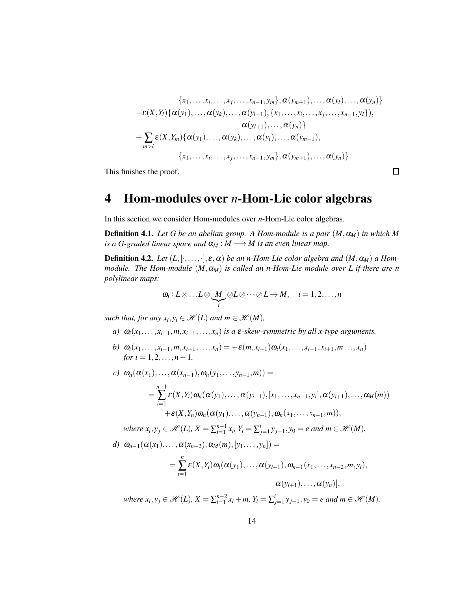{
$$
x_1, ..., x_i, ..., x_j, ..., x_{n-1}, y_m
$$
},  $\alpha(y_{m+1}), ..., \alpha(y_l), ..., \alpha(y_n)$ }  
+ $\varepsilon(X, Y_l)$ { $\alpha(y_1), ..., \alpha(y_k), ..., \alpha(y_{l-1}), \{x_1, ..., x_i, ..., x_j, ..., x_{n-1}, y_l\}$ },  
 $\alpha(y_{l+1}), ..., \alpha(y_n)$ }  
+ $\sum_{m>l} \varepsilon(X, Y_m)$ { $\alpha(y_1), ..., \alpha(y_k), ..., \alpha(y_l), ..., \alpha(y_{m-1}),$   
{ $x_1, ..., x_i, ..., x_j, ..., x_{n-1}, y_m$ },  $\alpha(y_{m+1}), ..., \alpha(y_n)$ }.

 $\Box$ 

<span id="page-13-0"></span>This finishes the proof.

## 4 Hom-modules over *n*-Hom-Lie color algebras

In this section we consider Hom-modules over *n*-Hom-Lie color algebras.

**Definition 4.1.** *Let G be an abelian group. A Hom-module is a pair*  $(M, \alpha_M)$  *in which* M *is a G-graded linear space and*  $\alpha_M : M \longrightarrow M$  *is an even linear map.* 

**Definition 4.2.** *Let*  $(L, [\cdot, \ldots, \cdot], \varepsilon, \alpha)$  *be an n-Hom-Lie color algebra and*  $(M, \alpha_M)$  *a Hommodule. The Hom-module*  $(M, \alpha_M)$  *is called an n-Hom-Lie module over L if there are n polylinear maps:*

$$
\omega_i: L\otimes \ldots L\otimes \underbrace{M}_{i}\otimes L\otimes \cdots \otimes L\to M, \quad i=1,2,\ldots,n
$$

*such that, for any*  $x_i, y_i \in \mathcal{H}(L)$  *and*  $m \in \mathcal{H}(M)$ *,* 

- *a)*  $\omega_i(x_1,\ldots,x_{i-1},m,x_{i+1},\ldots,x_n)$  *is a*  $\varepsilon$ -skew-symmetric by all x-type arguments.
- b)  $\omega_i(x_1,...,x_{i-1},m,x_{i+1},...,x_n) = -\varepsilon(m,x_{i+1})\omega_i(x_1,...,x_{i-1},x_{i+1},m...,x_n)$ *for*  $i = 1, 2, ..., n - 1$ .

$$
c) \quad \omega_n(\alpha(x_1),\ldots,\alpha(x_{n-1}),\omega_n(y_1,\ldots,y_{n-1},m)) =
$$
\n
$$
= \sum_{i=1}^{n-1} \varepsilon(X,Y_i)\omega_n(\alpha(y_1),\ldots,\alpha(y_{i-1}),[x_1,\ldots,x_{n-1},y_i],\alpha(y_{i+1}),\ldots,\alpha_M(m))
$$
\n
$$
+ \varepsilon(X,Y_n)\omega_n(\alpha(y_1),\ldots,\alpha(y_{n-1}),\omega_n(x_1,\ldots,x_{n-1},m)),
$$

where 
$$
x_i, y_j \in \mathcal{H}(L), X = \sum_{i=1}^{n-1} x_i, Y_i = \sum_{j=1}^{i} y_{j-1}, y_0 = e
$$
 and  $m \in \mathcal{H}(M)$ .

$$
d) \quad \omega_{n-1}(\alpha(x_1),\ldots,\alpha(x_{n-2}),\alpha_M(m),[y_1,\ldots,y_n]) =
$$
\n
$$
= \sum_{i=1}^n \varepsilon(X,Y_i)\omega_i(\alpha(y_1),\ldots,\alpha(y_{i-1}),\omega_{n-1}(x_1,\ldots,x_{n-2},m,y_i),\ldots,\alpha(y_{i+1}),\ldots,\alpha(y_n)],
$$

 $where x_i, y_j \in \mathcal{H}(L), X = \sum_{i=1}^{n-2} x_i + m, Y_i = \sum_{j=1}^{i} y_{j-1}, y_0 = e \text{ and } m \in \mathcal{H}(M).$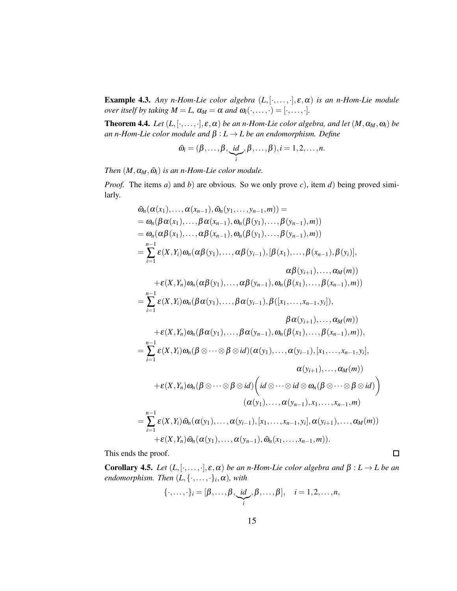Example 4.3. *Any n-Hom-Lie color algebra* (*L*,[·,...,·],ε,α) *is an n-Hom-Lie module over itself by taking*  $M = L$ ,  $\alpha_M = \alpha$  *and*  $\omega_i(\cdot, \dots, \cdot) = [\cdot, \dots, \cdot].$ 

**Theorem 4.4.** *Let*  $(L, [\cdot, \ldots, \cdot], \varepsilon, \alpha)$  *be an n-Hom-Lie color algebra, and let*  $(M, \alpha_M, \omega_i)$  *be an n-Hom-Lie color module and* β : *L* → *L be an endomorphism. Define*

$$
\tilde{\omega}_i=(\beta,\ldots,\beta,\underbrace{id}_{i},\beta,\ldots,\beta), i=1,2,\ldots,n.
$$

*Then*  $(M, \alpha_M, \tilde{\omega}_i)$  *is an n-Hom-Lie color module.* 

*Proof.* The items *a*) and *b*) are obvious. So we only prove *c*), item *d*) being proved similarly.

$$
\tilde{\omega}_{n}(\alpha(x_{1}),..., \alpha(x_{n-1}), \tilde{\omega}_{n}(y_{1},...,y_{n-1},m)) =
$$
\n
$$
= \omega_{n}(\beta \alpha(x_{1}),..., \beta \alpha(x_{n-1}), \omega_{n}(\beta(y_{1}),..., \beta(y_{n-1}),m))
$$
\n
$$
= \omega_{n}(\alpha \beta(x_{1}),..., \alpha \beta(x_{n-1}), \omega_{n}(\beta(y_{1}),..., \beta(y_{n-1}),m))
$$
\n
$$
= \sum_{i=1}^{n-1} \varepsilon(X,Y_{i}) \omega_{n}(\alpha \beta(y_{1}),..., \alpha \beta(y_{i-1}), [\beta(x_{1}),..., \beta(x_{n-1}), \beta(y_{i})],
$$
\n
$$
\alpha \beta(y_{i+1}),..., \alpha_{M}(m))
$$
\n
$$
+ \varepsilon(X,Y_{n}) \omega_{n}(\alpha \beta(y_{1}),..., \alpha \beta(y_{n-1}), \omega_{n}(\beta(x_{1}),..., \beta(x_{n-1}),m))
$$
\n
$$
= \sum_{i=1}^{n-1} \varepsilon(X,Y_{i}) \omega_{n}(\beta \alpha(y_{1}),..., \beta \alpha(y_{i-1}), \beta([x_{1},...,x_{n-1},y_{i}]),
$$
\n
$$
\beta \alpha(y_{i+1}),..., \alpha_{M}(m))
$$
\n
$$
+ \varepsilon(X,Y_{n}) \omega_{n}(\beta \alpha(y_{1}),..., \beta \alpha(y_{n-1}), \omega_{n}(\beta(x_{1}),..., \beta(x_{n-1}),m)),
$$
\n
$$
= \sum_{i=1}^{n-1} \varepsilon(X,Y_{i}) \omega_{n}(\beta \otimes ... \otimes \beta \otimes id)(\alpha(y_{1}),..., \alpha(y_{i-1}), [x_{1},...,x_{n-1},y_{i}],
$$
\n
$$
\alpha(y_{i+1}),..., \alpha_{M}(m))
$$
\n
$$
+ \varepsilon(X,Y_{n}) \omega_{n}(\beta \otimes ... \otimes \beta \otimes id) \Big( id \otimes ... \otimes id \otimes \omega_{n}(\beta \otimes ... \otimes \beta \otimes id) \Big)
$$
\n
$$
(\alpha(y_{1}),..., \alpha(y_{n-1}), x_{1},...,x_{n-1},m)
$$
\n
$$
= \sum_{i=1}^{n-1} \varepsilon(X,Y_{i}) \tilde{\omega
$$

This ends the proof.

**Corollary 4.5.** *Let*  $(L, [\cdot, \ldots, \cdot], \varepsilon, \alpha)$  *be an n-Hom-Lie color algebra and*  $\beta : L \to L$  *be an*  $endomorphism.$  Then  $(L, {\{\cdot, \ldots, \cdot\}}_i, \alpha)$ *, with* 

 $\Box$ 

$$
\{\cdot,\ldots,\cdot\}_i=[\beta,\ldots,\beta,\underbrace{id}_{i},\beta,\ldots,\beta],\quad i=1,2,\ldots,n,
$$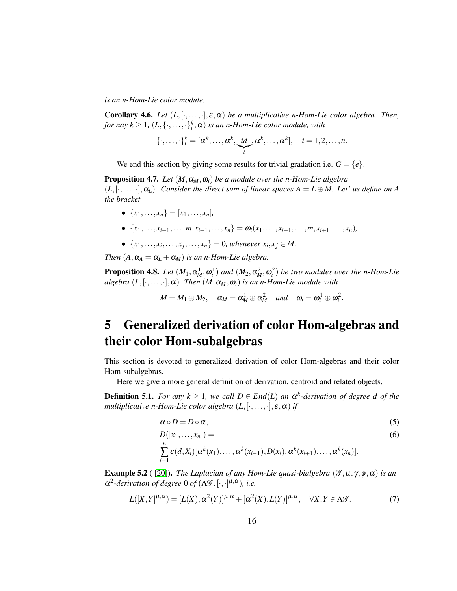*is an n-Hom-Lie color module.*

**Corollary 4.6.** *Let*  $(L, [\cdot, \ldots, \cdot], \varepsilon, \alpha)$  *be a multiplicative n-Hom-Lie color algebra. Then, for nay k*  $\geq$  1,  $(L, \{\cdot, \ldots, \cdot\}^k_i, \alpha)$  *is an n-Hom-Lie color module, with* 

$$
\{\cdot,\ldots,\cdot\}^k_i=[\alpha^k,\ldots,\alpha^k,\underbrace{\textit{id}}_i,\alpha^k,\ldots,\alpha^k],\quad i=1,2,\ldots,n.
$$

We end this section by giving some results for trivial gradation i.e.  $G = \{e\}.$ 

**Proposition 4.7.** *Let*  $(M, \alpha_M, \omega_i)$  *be a module over the n-Hom-Lie algebra*  $(L, [\cdot, \ldots, \cdot], \alpha_L)$ *. Consider the direct sum of linear spaces*  $A = L \oplus M$ *. Let' us define on A the bracket*

- $\{x_1, \ldots, x_n\} = [x_1, \ldots, x_n]$
- {*x*1,...,*xi*−1,...,*m*,*xi*+1,...,*xn*} = <sup>ω</sup>*i*(*x*1,...,*xi*−1,...,*m*,*xi*+1,...,*xn*)*,*
- $\{x_1, \ldots, x_i, \ldots, x_j, \ldots, x_n\} = 0$ , whenever  $x_i, x_j \in M$ .

*Then*  $(A, \alpha_A = \alpha_L + \alpha_M)$  *is an n-Hom-Lie algebra.* 

**Proposition 4.8.** Let  $(M_1, \alpha_M^1, \omega_i^1)$  and  $(M_2, \alpha_M^2, \omega_i^2)$  be two modules over the n-Hom-Lie *algebra*  $(L, [\cdot, \ldots, \cdot], \alpha)$ *. Then*  $(M, \alpha_M, \omega_i)$  *is an n-Hom-Lie module with* 

$$
M = M_1 \oplus M_2
$$
,  $\alpha_M = \alpha_M^1 \oplus \alpha_M^2$  and  $\omega_i = \omega_i^1 \oplus \omega_i^2$ .

# <span id="page-15-0"></span>5 Generalized derivation of color Hom-algebras and their color Hom-subalgebras

This section is devoted to generalized derivation of color Hom-algebras and their color Hom-subalgebras.

Here we give a more general definition of derivation, centroid and related objects.

**Definition 5.1.** *For any*  $k \geq 1$ *, we call*  $D \in End(L)$  *an*  $\alpha^k$ *-derivation of degree d of the multiplicative n-Hom-Lie color algebra*  $(L, [\cdot, \ldots, \cdot], \varepsilon, \alpha)$  *if* 

<span id="page-15-1"></span>
$$
\alpha \circ D = D \circ \alpha,\tag{5}
$$

$$
D([x_1,...,x_n]) =
$$
  
\n
$$
\sum_{i=1}^n \varepsilon(d, X_i) [\alpha^k(x_1), ..., \alpha^k(x_{i-1}), D(x_i), \alpha^k(x_{i+1}), ..., \alpha^k(x_n)].
$$
\n(6)

**Example 5.2** ( [\[20\]](#page-28-10)). *The Laplacian of any Hom-Lie quasi-bialgebra*  $(\mathscr{G}, \mu, \gamma, \phi, \alpha)$  *is an*  $\alpha^2$ -derivation of degree 0 of  $(\Lambda \mathscr{G}, [\cdot, \cdot]^{\mu, \alpha})$ , i.e.

$$
L([X,Y]^{\mu,\alpha}) = [L(X),\alpha^2(Y)]^{\mu,\alpha} + [\alpha^2(X),L(Y)]^{\mu,\alpha}, \quad \forall X,Y \in \Lambda \mathscr{G}.
$$
 (7)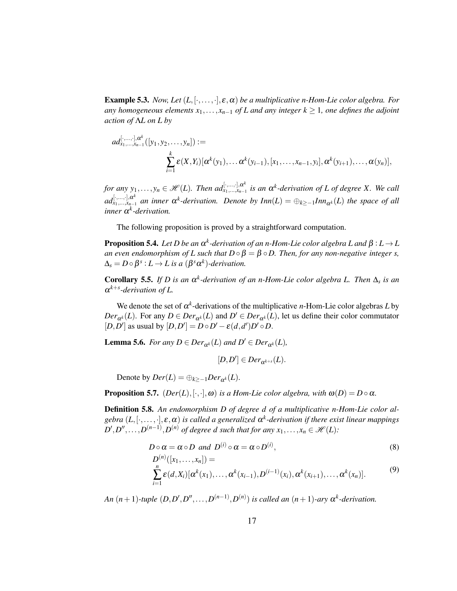**Example 5.3.** *Now, Let*  $(L, [\cdot, \dots, \cdot], \varepsilon, \alpha)$  *be a multiplicative n-Hom-Lie color algebra. For any homogeneous elements*  $x_1, \ldots, x_{n-1}$  *of L and any integer*  $k \geq 1$ *, one defines the adjoint action of* Λ*L on L by*

$$
ad^{[\cdot,\dots,\cdot],\alpha^k}_{x_1,\dots,x_{n-1}}([y_1,y_2,\dots,y_n]):=\sum_{i=1}^k \varepsilon(X,Y_i)[\alpha^k(y_1),\dots,\alpha^k(y_{i-1}),[x_1,\dots,x_{n-1},y_i],\alpha^k(y_{i+1}),\dots,\alpha(y_n)],
$$

*for any*  $y_1, \ldots, y_n \in \mathscr{H}(L)$ . Then  $ad_{x_1, \ldots, x_{n-1}}^{[\cdot, \ldots, \cdot], a^k}$ *x*1,...,*xn*−<sup>1</sup> *is an* <sup>α</sup> *k -derivation of L of degree X. We call*  $ad_{x_1,...,x_{n-1}}^{[\cdot,...,\cdot],\alpha^k}$  an inner  $\alpha^k$ -derivation. Denote by  $Inn(L) = \bigoplus_{k \geq -1} Inn_{\alpha^k}(L)$  the space of all *inner* <sup>α</sup> *k -derivation.*

The following proposition is proved by a straightforward computation.

**Proposition 5.4.** Let D be an  $\alpha^k$ -derivation of an n-Hom-Lie color algebra L and  $\beta: L \rightarrow L$ *an even endomorphism of L such that*  $D \circ \beta = \beta \circ D$ . *Then, for any non-negative integer s,*  $\Delta_s = D \circ \beta^s : L \to L$  is a  $(\beta^s \alpha^k)$ -derivation.

**Corollary 5.5.** If D is an  $\alpha^k$ -derivation of an n-Hom-Lie color algebra L. Then  $\Delta_s$  is an α *k*+*s -derivation of L.*

We denote the set of  $\alpha^k$ -derivations of the multiplicative *n*-Hom-Lie color algebras *L* by  $Der_{\alpha^{k}}(L)$ . For any  $D \in Der_{\alpha^{k}}(L)$  and  $D' \in Der_{\alpha^{k}}(L)$ , let us define their color commutator  $[D, D']$  as usual by  $[D, D'] = D \circ D' - \varepsilon(d, d')D' \circ D$ .

**Lemma 5.6.** *For any*  $D \in Der_{\alpha^k}(L)$  *and*  $D' \in Der_{\alpha^k}(L)$ *,* 

$$
[D, D'] \in Der_{\alpha^{k+s}}(L).
$$

Denote by  $Der(L) = \bigoplus_{k \geq -1} Der_{\alpha^k}(L)$ .

**Proposition 5.7.**  $(Der(L), [\cdot, \cdot], \omega)$  *is a Hom-Lie color algebra, with*  $\omega(D) = D \circ \alpha$ *.* 

Definition 5.8. *An endomorphism D of degree d of a multiplicative n-Hom-Lie color algebra* (*L*,[·,...,·],ε,α) *is called a generalized* <sup>α</sup> *k -derivation if there exist linear mappings*  $D', D'', \ldots, D^{(n-1)}, D^{(n)}$  of degree d such that for any  $x_1, \ldots, x_n \in \mathcal{H}(L)$ :

$$
D \circ \alpha = \alpha \circ D \text{ and } D^{(i)} \circ \alpha = \alpha \circ D^{(i)},
$$
  
\n
$$
D^{(n)}([x_1, ..., x_n]) =
$$
  
\n
$$
\sum_{i=1}^n \varepsilon(d, X_i) [\alpha^k(x_1), ..., \alpha^k(x_{i-1}), D^{(i-1)}(x_i), \alpha^k(x_{i+1}), ..., \alpha^k(x_n)].
$$
\n(9)

*An*  $(n+1)$ -tuple  $(D, D', D'', \ldots, D^{(n-1)}, D^{(n)})$  *is called an*  $(n+1)$ -ary  $\alpha^{k}$ -derivation.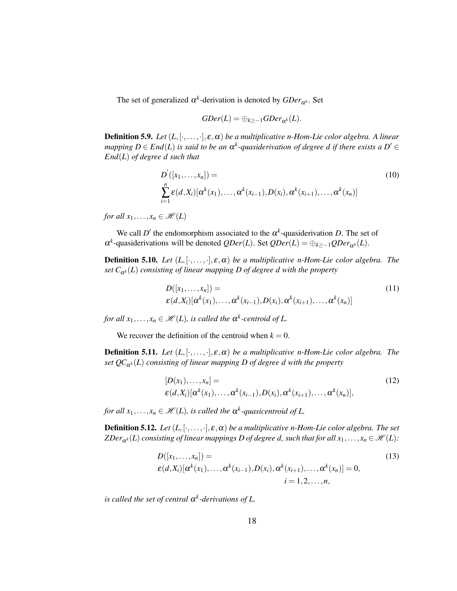The set of generalized  $\alpha^k$ -derivation is denoted by  $GDer_{\alpha^k}$ . Set

$$
GDer(L)=\oplus_{k\geq -1}GDer_{\alpha^k}(L).
$$

**Definition 5.9.** *Let*  $(L, [\cdot, \ldots, \cdot], \varepsilon, \alpha)$  *be a multiplicative n-Hom-Lie color algebra.* A linear *mapping*  $D \in End(L)$  *is said to be an*  $\alpha^{k}$ -quasiderivation of degree d if there exists a  $D' \in$ *End*(*L*) *of degree d such that*

$$
D'([x_1,...,x_n]) =
$$
  
\n
$$
\sum_{i=1}^n \varepsilon(d, X_i) [\alpha^k(x_1),..., \alpha^k(x_{i-1}), D(x_i), \alpha^k(x_{i+1}),..., \alpha^k(x_n)]
$$
\n(10)

*for all*  $x_1, \ldots, x_n \in \mathcal{H}(L)$ 

We call  $D'$  the endomorphism associated to the  $\alpha^k$ -quasiderivation *D*. The set of  $\alpha^k$ -quasiderivations will be denoted  $QDer(L)$ . Set  $QDer(L) = \bigoplus_{k \geq -1} QDer_{\alpha^k}(L)$ .

**Definition 5.10.** *Let*  $(L, [\cdot, \ldots, \cdot], \varepsilon, \alpha)$  *be a multiplicative n-Hom-Lie color algebra. The set*  $C_{\alpha^k}(L)$  *consisting of linear mapping D of degree d with the property* 

$$
D([x_1,...,x_n]) =
$$
  
\n
$$
\varepsilon(d, X_i)[\alpha^k(x_1),..., \alpha^k(x_{i-1}), D(x_i), \alpha^k(x_{i+1}),..., \alpha^k(x_n)]
$$
\n(11)

*for all*  $x_1, \ldots, x_n \in \mathcal{H}(L)$ , *is called the*  $\alpha^k$ -centroid of L.

We recover the definition of the centroid when  $k = 0$ .

**Definition 5.11.** *Let*  $(L, [\cdot, \ldots, \cdot], \varepsilon, \alpha)$  *be a multiplicative n-Hom-Lie color algebra. The set QC*α*<sup>k</sup>* (*L*) *consisting of linear mapping D of degree d with the property*

$$
[D(x_1),...,x_n] =
$$
  
\n
$$
\varepsilon(d,X_i)[\alpha^k(x_1),..., \alpha^k(x_{i-1}), D(x_i), \alpha^k(x_{i+1}),..., \alpha^k(x_n)],
$$
\n(12)

*for all*  $x_1, \ldots, x_n \in \mathcal{H}(L)$ , is called the  $\alpha^k$ -quasicentroid of L.

**Definition 5.12.** *Let*  $(L, [\cdot, \ldots, \cdot], \varepsilon, \alpha)$  *be a multiplicative n-Hom-Lie color algebra. The set ZDer*<sub>α</sub>*k*(*L*) *consisting of linear mappings <i>D of degree d, such that for all*  $x_1, \ldots, x_n \in \mathcal{H}(L)$ *:* 

<span id="page-17-0"></span>
$$
D([x_1, ..., x_n]) =
$$
  
\n
$$
\varepsilon(d, X_i)[\alpha^{k}(x_1), ..., \alpha^{k}(x_{i-1}), D(x_i), \alpha^{k}(x_{i+1}), ..., \alpha^{k}(x_n)] = 0,
$$
  
\n
$$
i = 1, 2, ..., n,
$$
\n(13)

*is called the set of central* <sup>α</sup> *k -derivations of L.*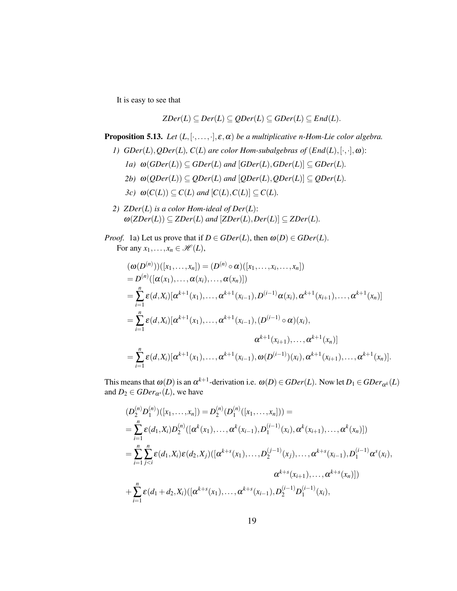It is easy to see that

$$
ZDer(L) \subseteq Der(L) \subseteq QDer(L) \subseteq GDer(L) \subseteq End(L).
$$

**Proposition 5.13.** *Let*  $(L, [\cdot, \ldots, \cdot], \varepsilon, \alpha)$  *be a multiplicative n-Hom-Lie color algebra.* 

- *1)*  $GDer(L), QDer(L), C(L)$  are color Hom-subalgebras of  $(End(L), [\cdot, \cdot], \omega)$ :
	- *1a)*  $\omega(GDer(L)) \subseteq GDer(L)$  *and*  $[GDer(L), GDer(L)] \subseteq GDer(L)$ *.*
	- *2b*)  $\omega(QDer(L)) \subseteq QDer(L)$  *and*  $[QDer(L), QDer(L)] \subseteq QDer(L)$ *.*
	- *3c)*  $\omega(C(L)) \subseteq C(L)$  *and*  $[C(L), C(L)] \subseteq C(L)$ *.*
- *2) ZDer*(*L*) *is a color Hom-ideal of Der*(*L*):  $\omega(ZDer(L)) \subseteq ZDer(L)$  and  $[ZDer(L),Der(L)] \subseteq ZDer(L)$ .

*Proof.* 1a) Let us prove that if  $D \in GDer(L)$ , then  $\omega(D) \in GDer(L)$ . For any  $x_1, \ldots, x_n \in \mathcal{H}(L)$ ,

$$
(\omega(D^{(n)}))([x_1,...,x_n]) = (D^{(n)} \circ \alpha)([x_1,...,x_i,...,x_n])
$$
  
\n
$$
= D^{(n)}([\alpha(x_1),..., \alpha(x_i),..., \alpha(x_n)])
$$
  
\n
$$
= \sum_{i=1}^n \varepsilon(d, X_i)[\alpha^{k+1}(x_1),..., \alpha^{k+1}(x_{i-1}), D^{(i-1)}\alpha(x_i), \alpha^{k+1}(x_{i+1}),..., \alpha^{k+1}(x_n)]
$$
  
\n
$$
= \sum_{i=1}^n \varepsilon(d, X_i)[\alpha^{k+1}(x_1),..., \alpha^{k+1}(x_{i-1}), (D^{(i-1)} \circ \alpha)(x_i),
$$
  
\n
$$
\alpha^{k+1}(x_{i+1}),..., \alpha^{k+1}(x_n)]
$$
  
\n
$$
= \sum_{i=1}^n \varepsilon(d, X_i)[\alpha^{k+1}(x_1),..., \alpha^{k+1}(x_{i-1}), \omega(D^{(i-1)})(x_i), \alpha^{k+1}(x_{i+1}),..., \alpha^{k+1}(x_n)].
$$

This means that  $\omega(D)$  is an  $\alpha^{k+1}$ -derivation i.e.  $\omega(D) \in GDer(L)$ . Now let  $D_1 \in GDer_{\alpha^k}(L)$ and  $D_2 \in GDer_{\alpha^s}(L)$ , we have

$$
(D_2^{(n)}D_1^{(n)})([x_1,\ldots,x_n]) = D_2^{(n)}(D_1^{(n)}([x_1,\ldots,x_n])) =
$$
  
\n
$$
= \sum_{i=1}^n \varepsilon(d_1,X_i)D_2^{(n)}([\alpha^k(x_1),\ldots,\alpha^k(x_{i-1}),D_1^{(i-1)}(x_i),\alpha^k(x_{i+1}),\ldots,\alpha^k(x_n)])
$$
  
\n
$$
= \sum_{i=1}^n \sum_{j  
\n
$$
\alpha^{k+s}(x_{i+1}),\ldots,\alpha^{k+s}(x_n)])
$$
  
\n+
$$
\sum_{i=1}^n \varepsilon(d_1+d_2,X_i)([\alpha^{k+s}(x_1),\ldots,\alpha^{k+s}(x_{i-1}),D_2^{(i-1)}D_1^{(i-1)}(x_i),
$$
$$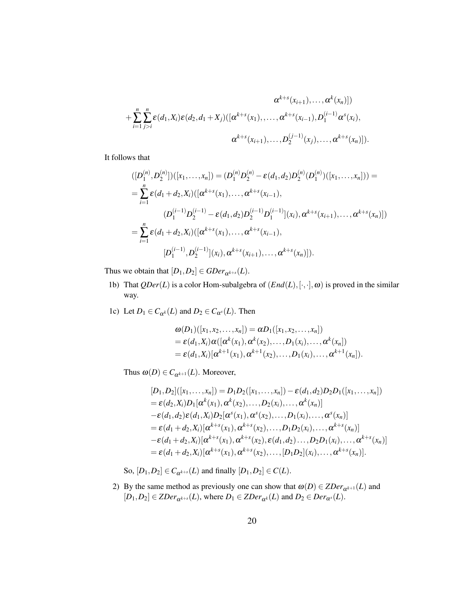$$
\alpha^{k+s}(x_{i+1}), \ldots, \alpha^k(x_n)])
$$
  
+
$$
\sum_{i=1}^n \sum_{j>i}^n \varepsilon(d_1, X_i) \varepsilon(d_2, d_1 + X_j) ([\alpha^{k+s}(x_1), \ldots, \alpha^{k+s}(x_{i-1}), D_1^{(i-1)} \alpha^s(x_i),
$$
  

$$
\alpha^{k+s}(x_{i+1}), \ldots, D_2^{(j-1)}(x_j), \ldots, \alpha^{k+s}(x_n)]).
$$

It follows that

$$
([D_1^{(n)}, D_2^{(n)}])([x_1, ..., x_n]) = (D_1^{(n)}D_2^{(n)} - \varepsilon(d_1, d_2)D_2^{(n)}(D_1^{(n)})([x_1, ..., x_n])) =
$$
  
\n
$$
= \sum_{i=1}^n \varepsilon(d_1 + d_2, X_i)([\alpha^{k+s}(x_1), ..., \alpha^{k+s}(x_{i-1}),
$$
  
\n
$$
(D_1^{(i-1)}D_2^{(i-1)} - \varepsilon(d_1, d_2)D_2^{(i-1)}D_1^{(i-1)}](x_i), \alpha^{k+s}(x_{i+1}), ..., \alpha^{k+s}(x_n)])
$$
  
\n
$$
= \sum_{i=1}^n \varepsilon(d_1 + d_2, X_i)([\alpha^{k+s}(x_1), ..., \alpha^{k+s}(x_{i-1}),
$$
  
\n
$$
[D_1^{(i-1)}, D_2^{(i-1)}](x_i), \alpha^{k+s}(x_{i+1}), ..., \alpha^{k+s}(x_n)]).
$$

Thus we obtain that  $[D_1, D_2] \in GDer_{\alpha^{k+s}}(L)$ .

- 1b) That  $QDer(L)$  is a color Hom-subalgebra of  $(End(L), [\cdot, \cdot], \omega)$  is proved in the similar way.
- 1c) Let  $D_1 \in C_{\alpha^k}(L)$  and  $D_2 \in C_{\alpha^s}(L)$ . Then

$$
\begin{aligned} &\omega(D_1)([x_1,x_2,\ldots,x_n]) = \alpha D_1([x_1,x_2,\ldots,x_n]) \\ &= \varepsilon(d_1,X_i)\alpha([ \alpha^k(x_1),\alpha^k(x_2),\ldots,D_1(x_i),\ldots,\alpha^k(x_n]) \\ &= \varepsilon(d_1,X_i)[ \alpha^{k+1}(x_1),\alpha^{k+1}(x_2),\ldots,D_1(x_i),\ldots,\alpha^{k+1}(x_n]). \end{aligned}
$$

Thus  $\omega(D) \in C_{\alpha^{k+1}}(L)$ . Moreover,

$$
[D_1, D_2]([x_1, ..., x_n]) = D_1D_2([x_1, ..., x_n]) - \varepsilon(d_1, d_2)D_2D_1([x_1, ..., x_n])
$$
  
\n
$$
= \varepsilon(d_2, X_i)D_1[\alpha^k(x_1), \alpha^k(x_2), ..., D_2(x_i), ..., \alpha^k(x_n)]
$$
  
\n
$$
- \varepsilon(d_1, d_2)\varepsilon(d_1, X_i)D_2[\alpha^s(x_1), \alpha^s(x_2), ..., D_1(x_i), ..., \alpha^s(x_n)]
$$
  
\n
$$
= \varepsilon(d_1 + d_2, X_i)[\alpha^{k+s}(x_1), \alpha^{k+s}(x_2), ..., D_1D_2(x_i), ..., \alpha^{k+s}(x_n)]
$$
  
\n
$$
- \varepsilon(d_1 + d_2, X_i)[\alpha^{k+s}(x_1), \alpha^{k+s}(x_2), \varepsilon(d_1, d_2) ..., D_2D_1(x_i), ..., \alpha^{k+s}(x_n)]
$$
  
\n
$$
= \varepsilon(d_1 + d_2, X_i)[\alpha^{k+s}(x_1), \alpha^{k+s}(x_2), ..., [D_1D_2](x_i), ..., \alpha^{k+s}(x_n)].
$$

So,  $[D_1, D_2] \in C_{\alpha^{k+s}}(L)$  and finally  $[D_1, D_2] \in C(L)$ .

2) By the same method as previously one can show that  $\omega(D) \in ZDer_{\alpha^{k+1}}(L)$  and  $[D_1, D_2] \in \mathbb{Z}$ *Der*<sub> $\alpha^{k+s}(L)$ , where  $D_1 \in \mathbb{Z}$ *Der*<sub> $\alpha^k}(L)$  and  $D_2 \in \mathbb{Z}$ *Der*<sub> $\alpha^s(L)$ .</sub></sub></sub>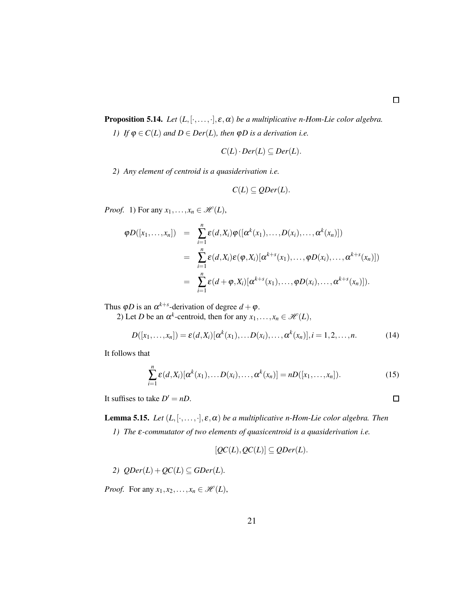**Proposition 5.14.** *Let*  $(L, [\cdot, \ldots, \cdot], \varepsilon, \alpha)$  *be a multiplicative n-Hom-Lie color algebra.* 

*1)* If  $\varphi \in C(L)$  and  $D \in Der(L)$ , then  $\varphi D$  is a derivation i.e.

$$
C(L) \cdot Der(L) \subseteq Der(L).
$$

*2) Any element of centroid is a quasiderivation i.e.*

$$
C(L) \subseteq QDer(L).
$$

*Proof.* 1) For any  $x_1, \ldots, x_n \in \mathcal{H}(L)$ ,

$$
\varphi D([x_1,\ldots,x_n]) = \sum_{i=1}^n \varepsilon(d,X_i) \varphi([\alpha^k(x_1),\ldots,D(x_i),\ldots,\alpha^k(x_n)])
$$
  

$$
= \sum_{i=1}^n \varepsilon(d,X_i) \varepsilon(\varphi,X_i) [\alpha^{k+s}(x_1),\ldots,\varphi D(x_i),\ldots,\alpha^{k+s}(x_n)])
$$
  

$$
= \sum_{i=1}^n \varepsilon(d+\varphi,X_i) [\alpha^{k+s}(x_1),\ldots,\varphi D(x_i),\ldots,\alpha^{k+s}(x_n)]).
$$

Thus  $\varphi D$  is an  $\alpha^{k+s}$ -derivation of degree  $d + \varphi$ .

2) Let *D* be an  $\alpha^k$ -centroid, then for any  $x_1, \ldots, x_n \in \mathcal{H}(L)$ ,

$$
D([x_1, ..., x_n]) = \varepsilon(d, X_i) [\alpha^k(x_1), ... D(x_i), ..., \alpha^k(x_n)], i = 1, 2, ..., n.
$$
 (14)

It follows that

$$
\sum_{i=1}^n \varepsilon(d, X_i) [\alpha^k(x_1), \dots D(x_i), \dots, \alpha^k(x_n)] = nD([x_1, \dots, x_n]).
$$
\n(15)

It suffises to take  $D' = nD$ .

<span id="page-20-0"></span>**Lemma 5.15.** *Let*  $(L, [\cdot, \ldots, \cdot], \varepsilon, \alpha)$  *be a multiplicative n-Hom-Lie color algebra. Then* 

*1) The* <sup>ε</sup>*-commutator of two elements of quasicentroid is a quasiderivation i.e.*

$$
[QC(L), QC(L)] \subseteq QDer(L).
$$

2)  $QDer(L) + QC(L) \subseteq GDer(L)$ .

*Proof.* For any  $x_1, x_2, \ldots, x_n \in \mathcal{H}(L)$ ,

 $\Box$ 

 $\Box$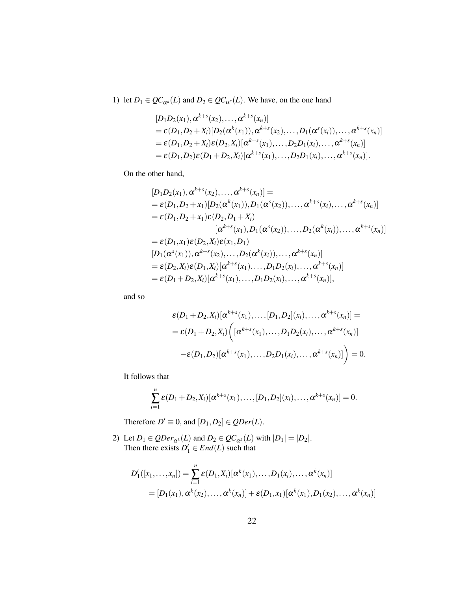1) let  $D_1 \in QC_{\alpha^k}(L)$  and  $D_2 \in QC_{\alpha^s}(L)$ . We have, on the one hand

$$
[D_1D_2(x_1), \alpha^{k+s}(x_2),..., \alpha^{k+s}(x_n)]
$$
  
=  $\varepsilon(D_1, D_2 + X_i)[D_2(\alpha^k(x_1)), \alpha^{k+s}(x_2),..., D_1(\alpha^s(x_i)),..., \alpha^{k+s}(x_n)]$   
=  $\varepsilon(D_1, D_2 + X_i)\varepsilon(D_2, X_i)[\alpha^{k+s}(x_1),..., D_2D_1(x_i),..., \alpha^{k+s}(x_n)]$   
=  $\varepsilon(D_1, D_2)\varepsilon(D_1 + D_2, X_i)[\alpha^{k+s}(x_1),..., D_2D_1(x_i),..., \alpha^{k+s}(x_n)].$ 

On the other hand,

$$
[D_1D_2(x_1), \alpha^{k+s}(x_2),..., \alpha^{k+s}(x_n)] =
$$
  
=  $\varepsilon(D_1, D_2 + x_1)[D_2(\alpha^k(x_1)), D_1(\alpha^s(x_2)),..., \alpha^{k+s}(x_i),..., \alpha^{k+s}(x_n)]$   
=  $\varepsilon(D_1, D_2 + x_1)\varepsilon(D_2, D_1 + X_i)$   

$$
[\alpha^{k+s}(x_1), D_1(\alpha^s(x_2)),..., D_2(\alpha^k(x_i)),..., \alpha^{k+s}(x_n)]
$$
  
=  $\varepsilon(D_1, x_1)\varepsilon(D_2, X_i)\varepsilon(x_1, D_1)$   

$$
[D_1(\alpha^s(x_1)), \alpha^{k+s}(x_2),..., D_2(\alpha^k(x_i)),..., \alpha^{k+s}(x_n)]
$$
  
=  $\varepsilon(D_2, X_i)\varepsilon(D_1, X_i)[\alpha^{k+s}(x_1),..., D_1D_2(x_i),..., \alpha^{k+s}(x_n)]$   
=  $\varepsilon(D_1 + D_2, X_i)[\alpha^{k+s}(x_1),..., D_1D_2(x_i),..., \alpha^{k+s}(x_n)],$ 

and so

$$
\varepsilon(D_1 + D_2, X_i) [\alpha^{k+s}(x_1), \dots, [D_1, D_2](x_i), \dots, \alpha^{k+s}(x_n)] =
$$
  
=  $\varepsilon(D_1 + D_2, X_i) \Big( [\alpha^{k+s}(x_1), \dots, D_1 D_2(x_i), \dots, \alpha^{k+s}(x_n)] -$   
 $-\varepsilon(D_1, D_2) [\alpha^{k+s}(x_1), \dots, D_2 D_1(x_i), \dots, \alpha^{k+s}(x_n)] \Big) = 0.$ 

It follows that

$$
\sum_{i=1}^n \varepsilon(D_1+D_2,X_i)[\alpha^{k+s}(x_1),\ldots,[D_1,D_2](x_i),\ldots,\alpha^{k+s}(x_n)]=0.
$$

Therefore  $D' \equiv 0$ , and  $[D_1, D_2] \in QDer(L)$ .

2) Let  $D_1 \in QDer_{\alpha^k}(L)$  and  $D_2 \in QC_{\alpha^k}(L)$  with  $|D_1| = |D_2|$ . Then there exists  $D'_1 \in End(L)$  such that

$$
D'_{1}([x_{1},...,x_{n}]) = \sum_{i=1}^{n} \varepsilon(D_{1}, X_{i}) [\alpha^{k}(x_{1}),...,D_{1}(x_{i}),..., \alpha^{k}(x_{n})]
$$
  
=  $[D_{1}(x_{1}), \alpha^{k}(x_{2}),..., \alpha^{k}(x_{n})] + \varepsilon(D_{1}, x_{1}) [\alpha^{k}(x_{1}), D_{1}(x_{2}),..., \alpha^{k}(x_{n})]$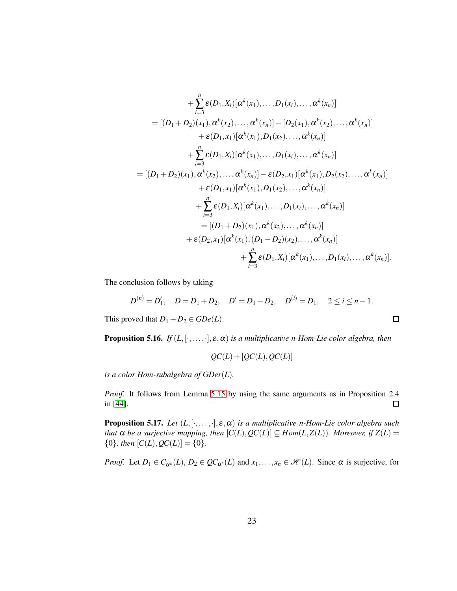+ 
$$
\sum_{i=3}^{n} \varepsilon(D_1, X_i) [\alpha^{k}(x_1),...,D_1(x_i),..., \alpha^{k}(x_n)]
$$
  
\n= 
$$
[(D_1 + D_2)(x_1), \alpha^{k}(x_2),..., \alpha^{k}(x_n)] - [D_2(x_1), \alpha^{k}(x_2),..., \alpha^{k}(x_n)]
$$
  
\n+ 
$$
\varepsilon(D_1, x_1) [\alpha^{k}(x_1), D_1(x_2),..., \alpha^{k}(x_n)]
$$
  
\n+ 
$$
\sum_{i=3}^{n} \varepsilon(D_1, X_i) [\alpha^{k}(x_1),...,D_1(x_i),..., \alpha^{k}(x_n)]
$$
  
\n= 
$$
[(D_1 + D_2)(x_1), \alpha^{k}(x_2),..., \alpha^{k}(x_n)] - \varepsilon(D_2, x_1) [\alpha^{k}(x_1), D_2(x_2),..., \alpha^{k}(x_n)]
$$
  
\n+ 
$$
\varepsilon(D_1, x_1) [\alpha^{k}(x_1), D_1(x_2),..., \alpha^{k}(x_n)]
$$
  
\n+ 
$$
\sum_{i=3}^{n} \varepsilon(D_1, X_i) [\alpha^{k}(x_1),..., D_1(x_i),..., \alpha^{k}(x_n)]
$$
  
\n= 
$$
[(D_1 + D_2)(x_1), \alpha^{k}(x_2),..., \alpha^{k}(x_n)]
$$
  
\n+ 
$$
\varepsilon(D_2, x_1) [\alpha^{k}(x_1), (D_1 - D_2)(x_2),..., \alpha^{k}(x_n)]
$$
  
\n+ 
$$
\sum_{i=3}^{n} \varepsilon(D_1, X_i) [\alpha^{k}(x_1),..., D_1(x_i),..., D_1(x_i),..., \alpha^{k}(x_n)].
$$

The conclusion follows by taking

$$
D^{(n)} = D'_1, \quad D = D_1 + D_2, \quad D' = D_1 - D_2, \quad D^{(i)} = D_1, \quad 2 \leq i \leq n - 1.
$$

 $\Box$ 

This proved that  $D_1 + D_2 \in GDe(L)$ .

**Proposition 5.16.** *If*  $(L, [\cdot, \ldots, \cdot], \varepsilon, \alpha)$  *is a multiplicative n-Hom-Lie color algebra, then* 

$$
QC(L) + [QC(L), QC(L)]
$$

*is a color Hom-subalgebra of GDer*(*L*)*.*

*Proof.* It follows from Lemma [5.15](#page-20-0) by using the same arguments as in Proposition 2.4 in [\[44\]](#page-29-7).  $\Box$ 

**Proposition 5.17.** *Let*  $(L, [\cdot, \ldots, \cdot], \varepsilon, \alpha)$  *is a multiplicative n-Hom-Lie color algebra such that*  $\alpha$  *be a surjective mapping, then*  $[C(L), QC(L)] \subseteq Hom(L, Z(L))$ *. Moreover, if*  $Z(L)$  =  ${0}$ *, then*  $[C(L), QC(L)] = {0}$ *.* 

*Proof.* Let  $D_1 \in C_{\alpha^k}(L)$ ,  $D_2 \in QC_{\alpha^s}(L)$  and  $x_1, \ldots, x_n \in \mathcal{H}(L)$ . Since  $\alpha$  is surjective, for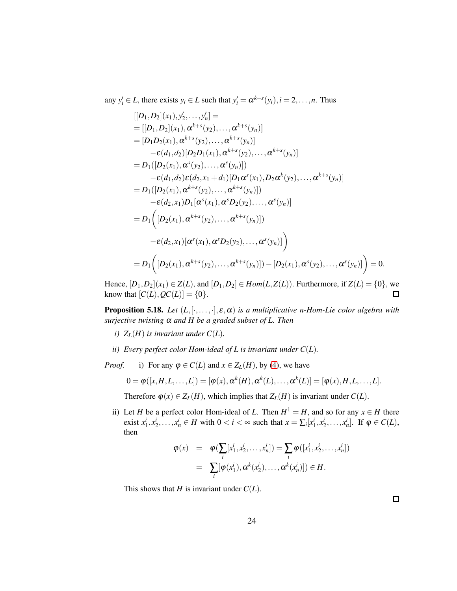any  $y'_i \in L$ , there exists  $y_i \in L$  such that  $y'_i = \alpha^{k+s}(y_i)$ ,  $i = 2, ..., n$ . Thus

$$
[[D_1, D_2](x_1), y'_2, \dots, y'_n] =
$$
  
\n= 
$$
[[D_1, D_2](x_1), \alpha^{k+s}(y_2), \dots, \alpha^{k+s}(y_n)]
$$
  
\n= 
$$
[D_1D_2(x_1), \alpha^{k+s}(y_2), \dots, \alpha^{k+s}(y_n)]
$$
  
\n
$$
- \varepsilon(d_1, d_2)[D_2D_1(x_1), \alpha^{k+s}(y_2), \dots, \alpha^{k+s}(y_n)]
$$
  
\n= 
$$
D_1([D_2(x_1), \alpha^s(y_2), \dots, \alpha^s(y_n)])
$$
  
\n
$$
- \varepsilon(d_1, d_2)\varepsilon(d_2, x_1 + d_1)[D_1\alpha^s(x_1), D_2\alpha^k(y_2), \dots, \alpha^{k+s}(y_n)]
$$
  
\n= 
$$
D_1([D_2(x_1), \alpha^{k+s}(y_2), \dots, \alpha^{k+s}(y_n)])
$$
  
\n
$$
- \varepsilon(d_2, x_1)D_1[\alpha^s(x_1), \alpha^s D_2(y_2), \dots, \alpha^s(y_n)]
$$
  
\n= 
$$
D_1([D_2(x_1), \alpha^{k+s}(y_2), \dots, \alpha^{k+s}(y_n)])
$$
  
\n
$$
- \varepsilon(d_2, x_1)[\alpha^s(x_1), \alpha^s D_2(y_2), \dots, \alpha^s(y_n)]
$$
  
\n= 
$$
D_1([D_2(x_1), \alpha^{k+s}(y_2), \dots, \alpha^{k+s}(y_n)]) - [D_2(x_1), \alpha^s(y_2), \dots, \alpha^s(y_n)] = 0.
$$
  
\n[
$$
D_1[D_2(x_1), \alpha^{k+s}(y_2), \dots, \alpha^{k+s}(y_n)]) - [D_2(x_1), \alpha^s(y_2), \dots, \alpha^s(y_n)] = 0.
$$

Hence,  $[D_1, D_2](x_1) \in Z(L)$ , and  $[D_1, D_2] \in Hom(L, Z(L))$ . Furthermore, if  $Z(L) = \{0\}$ , we know that  $[C(L), QC(L)] = \{0\}.$ 

**Proposition 5.18.** *Let*  $(L, [\cdot, \ldots, \cdot], \varepsilon, \alpha)$  *is a multiplicative n-Hom-Lie color algebra with surjective twisting* <sup>α</sup> *and H be a graded subset of L. Then*

- *i*)  $Z_L(H)$  *is invariant under*  $C(L)$ *.*
- *ii*) Every perfect color Hom-ideal of L is invariant under  $C(L)$ .

*Proof.* i) For any  $\varphi \in C(L)$  and  $x \in Z_L(H)$ , by [\(4\)](#page-6-1), we have

$$
0 = \boldsymbol{\varphi}([x,H,L,\ldots,L]) = [\boldsymbol{\varphi}(x),\boldsymbol{\alpha}^k(H),\boldsymbol{\alpha}^k(L),\ldots,\boldsymbol{\alpha}^k(L)] = [\boldsymbol{\varphi}(x),H,L,\ldots,L].
$$

Therefore  $\varphi(x) \in Z_L(H)$ , which implies that  $Z_L(H)$  is invariant under  $C(L)$ .

ii) Let *H* be a perfect color Hom-ideal of *L*. Then  $H^1 = H$ , and so for any  $x \in H$  there exist  $x_1^i, x_2^i, \dots, x_n^i \in H$  with  $0 < i < \infty$  such that  $x = \sum_i [x_1^i, x_2^i, \dots, x_n^i]$ . If  $\varphi \in C(L)$ , then

$$
\varphi(x) = \varphi(\sum_{i} [x_1^i, x_2^i, \dots, x_n^i]) = \sum_{i} \varphi([x_1^i, x_2^i, \dots, x_n^i])
$$
  
=  $\sum_{i} [\varphi(x_1^i), \alpha^k(x_2^i), \dots, \alpha^k(x_n^i)]) \in H.$ 

This shows that *H* is invariant under  $C(L)$ .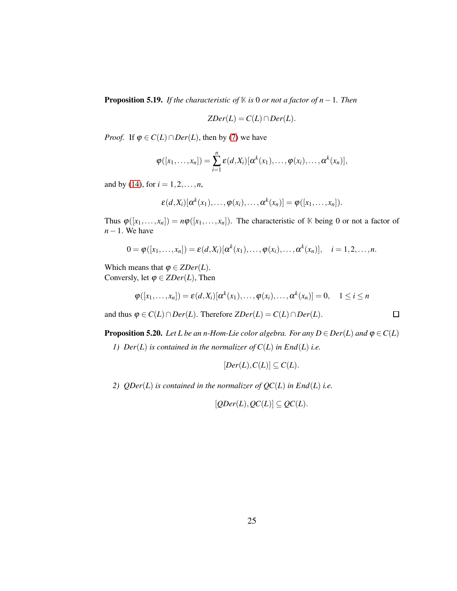<span id="page-24-1"></span>Proposition 5.19. *If the characteristic of* **K** *is* 0 *or not a factor of n*−1*. Then*

$$
ZDer(L)=C(L)\cap Der(L).
$$

*Proof.* If  $\varphi \in C(L) \cap Der(L)$ , then by [\(7\)](#page-15-1) we have

$$
\varphi([x_1,\ldots,x_n])=\sum_{i=1}^n \varepsilon(d,X_i)[\alpha^k(x_1),\ldots,\varphi(x_i),\ldots,\alpha^k(x_n)],
$$

and by [\(14\)](#page-17-0), for  $i = 1, 2, ..., n$ ,

$$
\varepsilon(d,X_i)[\alpha^k(x_1),\ldots,\varphi(x_i),\ldots,\alpha^k(x_n)]=\varphi([x_1,\ldots,x_n]).
$$

Thus  $\varphi([x_1,\ldots,x_n]) = n\varphi([x_1,\ldots,x_n])$ . The characteristic of K being 0 or not a factor of *n*−1. We have

$$
0 = \boldsymbol{\varphi}([x_1,\ldots,x_n]) = \boldsymbol{\varepsilon}(d,X_i)[\boldsymbol{\alpha}^k(x_1),\ldots,\boldsymbol{\varphi}(x_i),\ldots,\boldsymbol{\alpha}^k(x_n)], \quad i = 1,2,\ldots,n.
$$

Which means that  $\varphi \in ZDer(L)$ . Conversly, let  $\varphi \in ZDer(L)$ , Then

$$
\varphi([x_1,\ldots,x_n])=\varepsilon(d,X_i)[\alpha^k(x_1),\ldots,\varphi(x_i),\ldots,\alpha^k(x_n)]=0,\quad 1\leq i\leq n
$$

 $\Box$ 

and thus  $\varphi \in C(L) \cap Der(L)$ . Therefore  $ZDer(L) = C(L) \cap Der(L)$ .

<span id="page-24-0"></span>**Proposition 5.20.** *Let L be an n-Hom-Lie color algebra. For any*  $D \in Der(L)$  *and*  $\varphi \in C(L)$ 

*1) Der*(*L*) *is contained in the normalizer of C*(*L*) *in End*(*L*) *i.e.*

$$
[Der(L), C(L)] \subseteq C(L).
$$

*2) QDer*(*L*) *is contained in the normalizer of QC*(*L*) *in End*(*L*) *i.e.*

$$
[QDer(L), QC(L)] \subseteq QC(L).
$$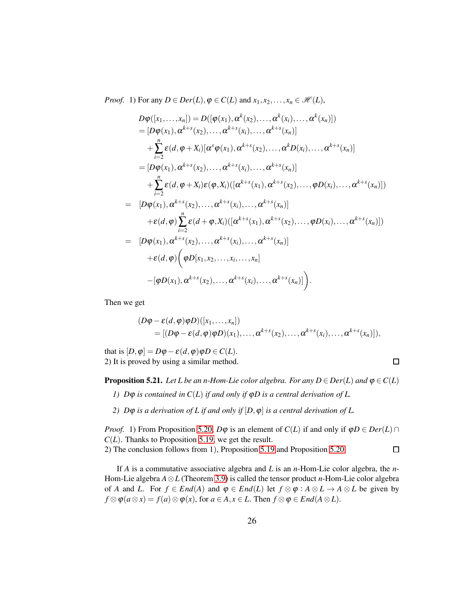*Proof.* 1) For any  $D \in Der(L)$ ,  $\varphi \in C(L)$  and  $x_1, x_2, \ldots, x_n \in \mathcal{H}(L)$ ,

$$
D\varphi([x_1,...,x_n]) = D([\varphi(x_1), \alpha^k(x_2), ..., \alpha^k(x_i), ..., \alpha^k(x_n)])
$$
  
\n
$$
= [D\varphi(x_1), \alpha^{k+s}(x_2), ..., \alpha^{k+s}(x_i), ..., \alpha^{k+s}(x_n)]
$$
  
\n
$$
+ \sum_{i=2}^n \varepsilon(d, \varphi + X_i)[\alpha^s \varphi(x_1), \alpha^{k+s}(x_2), ..., \alpha^k D(x_i), ..., \alpha^{k+s}(x_n)]
$$
  
\n
$$
= [D\varphi(x_1), \alpha^{k+s}(x_2), ..., \alpha^{k+s}(x_i), ..., \alpha^{k+s}(x_n)]
$$
  
\n
$$
+ \sum_{i=2}^n \varepsilon(d, \varphi + X_i)\varepsilon(\varphi, X_i)[[\alpha^{k+s}(x_1), \alpha^{k+s}(x_2), ..., \varphi D(x_i), ..., \alpha^{k+s}(x_n)])
$$
  
\n
$$
= [D\varphi(x_1), \alpha^{k+s}(x_2), ..., \alpha^{k+s}(x_i), ..., \alpha^{k+s}(x_n)]
$$
  
\n
$$
+ \varepsilon(d, \varphi) \sum_{i=2}^n \varepsilon(d + \varphi, X_i)[[\alpha^{k+s}(x_1), \alpha^{k+s}(x_2), ..., \varphi D(x_i), ..., \alpha^{k+s}(x_n)])
$$
  
\n
$$
+ \varepsilon(d, \varphi) (\varphi D[x_1, x_2, ..., x_i, ..., x_n]
$$
  
\n
$$
-[\varphi D(x_1), \alpha^{k+s}(x_2), ..., \alpha^{k+s}(x_i), ..., \alpha^{k+s}(x_n)]
$$

Then we get

$$
(D\varphi - \varepsilon(d,\varphi)\varphi D)([x_1,\ldots,x_n])
$$
  
= 
$$
[(D\varphi - \varepsilon(d,\varphi)\varphi D)(x_1),\ldots,\alpha^{k+s}(x_2),\ldots,\alpha^{k+s}(x_i),\ldots,\alpha^{k+s}(x_n)]
$$
,

 $\Box$ 

that is  $[D, \varphi] = D\varphi - \varepsilon(d, \varphi)\varphi D \in C(L)$ . 2) It is proved by using a similar method.

**Proposition 5.21.** *Let L be an n-Hom-Lie color algebra. For any*  $D \in Der(L)$  *and*  $\varphi \in C(L)$ 

- *1) D*ϕ *is contained in C*(*L*) *if and only if* ϕ*D is a central derivation of L.*
- *2)*  $D\varphi$  *is a derivation of L if and only if*  $[D, \varphi]$  *is a central derivation of L.*

*Proof.* 1) From Proposition [5.20,](#page-24-0)  $D\varphi$  is an element of  $C(L)$  if and only if  $\varphi D \in Der(L) \cap$  $C(L)$ . Thanks to Proposition [5.19,](#page-24-1) we get the result. 2) The conclusion follows from 1), Proposition [5.19](#page-24-1) and Proposition [5.20.](#page-24-0)  $\Box$ 

If *A* is a commutative associative algebra and *L* is an *n*-Hom-Lie color algebra, the *n*-Hom-Lie algebra *A*⊗*L* (Theorem [3.9\)](#page-8-0) is called the tensor product *n*-Hom-Lie color algebra of *A* and *L*. For  $f \in End(A)$  and  $\varphi \in End(L)$  let  $f \otimes \varphi : A \otimes L \to A \otimes L$  be given by  $f \otimes \varphi(a \otimes x) = f(a) \otimes \varphi(x)$ , for  $a \in A, x \in L$ . Then  $f \otimes \varphi \in End(A \otimes L)$ .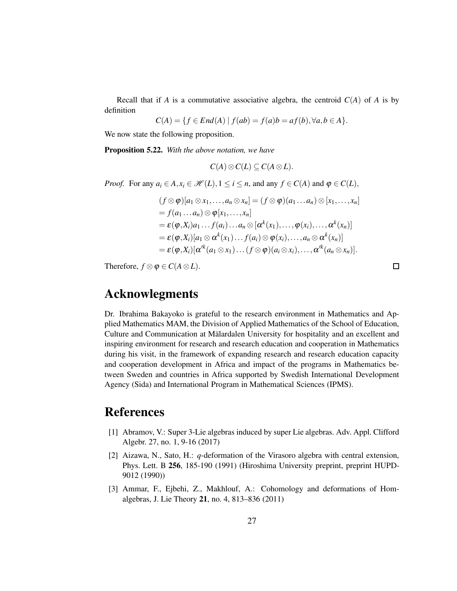Recall that if *A* is a commutative associative algebra, the centroid  $C(A)$  of *A* is by definition

$$
C(A) = \{ f \in End(A) \mid f(ab) = f(a)b = af(b), \forall a, b \in A \}.
$$

We now state the following proposition.

Proposition 5.22. *With the above notation, we have*

$$
C(A)\otimes C(L)\subseteq C(A\otimes L).
$$

*Proof.* For any  $a_i \in A$ ,  $x_i \in \mathcal{H}(L)$ ,  $1 \leq i \leq n$ , and any  $f \in C(A)$  and  $\varphi \in C(L)$ ,

$$
(f \otimes \varphi)[a_1 \otimes x_1, \ldots, a_n \otimes x_n] = (f \otimes \varphi)(a_1 \ldots a_n) \otimes [x_1, \ldots, x_n]
$$
  
=  $f(a_1 \ldots a_n) \otimes \varphi[x_1, \ldots, x_n]$   
=  $\varepsilon(\varphi, X_i)a_1 \ldots f(a_i) \ldots a_n \otimes [\alpha^k(x_1), \ldots, \varphi(x_i), \ldots, \alpha^k(x_n)]$   
=  $\varepsilon(\varphi, X_i)[a_1 \otimes \alpha^k(x_1) \ldots f(a_i) \otimes \varphi(x_i), \ldots, a_n \otimes \alpha^k(x_n)]$   
=  $\varepsilon(\varphi, X_i)[\alpha^{ik}(a_1 \otimes x_1) \ldots (f \otimes \varphi)(a_i \otimes x_i), \ldots, \alpha^{ik}(a_n \otimes x_n)].$ 

 $\Box$ 

Therefore,  $f \otimes \varphi \in C(A \otimes L)$ .

Acknowlegments

Dr. Ibrahima Bakayoko is grateful to the research environment in Mathematics and Applied Mathematics MAM, the Division of Applied Mathematics of the School of Education, Culture and Communication at Mälardalen University for hospitality and an excellent and inspiring environment for research and research education and cooperation in Mathematics during his visit, in the framework of expanding research and research education capacity and cooperation development in Africa and impact of the programs in Mathematics between Sweden and countries in Africa supported by Swedish International Development Agency (Sida) and International Program in Mathematical Sciences (IPMS).

### References

- [1] Abramov, V.: Super 3-Lie algebras induced by super Lie algebras. Adv. Appl. Clifford Algebr. 27, no. 1, 9-16 (2017)
- <span id="page-26-0"></span>[2] Aizawa, N., Sato, H.: *q*-deformation of the Virasoro algebra with central extension, Phys. Lett. B 256, 185-190 (1991) (Hiroshima University preprint, preprint HUPD-9012 (1990))
- <span id="page-26-1"></span>[3] Ammar, F., Ejbehi, Z., Makhlouf, A.: Cohomology and deformations of Homalgebras, J. Lie Theory 21, no. 4, 813–836 (2011)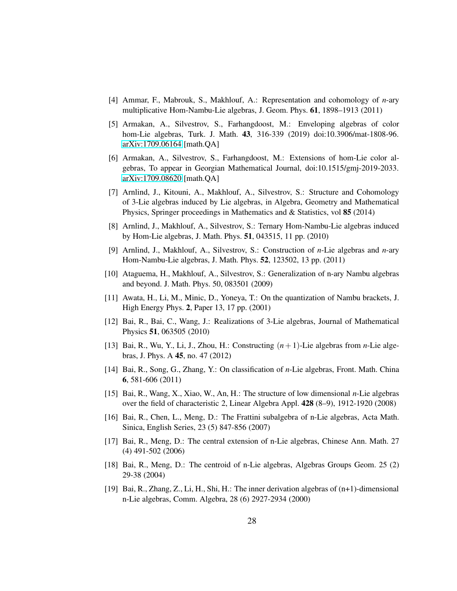- <span id="page-27-0"></span>[4] Ammar, F., Mabrouk, S., Makhlouf, A.: Representation and cohomology of *n*-ary multiplicative Hom-Nambu-Lie algebras, J. Geom. Phys. 61, 1898–1913 (2011)
- [5] Armakan, A., Silvestrov, S., Farhangdoost, M.: Enveloping algebras of color hom-Lie algebras, Turk. J. Math. 43, 316-339 (2019) doi:10.3906/mat-1808-96. [arXiv:1709.06164](http://arxiv.org/abs/1709.06164) [math.QA]
- <span id="page-27-1"></span>[6] Armakan, A., Silvestrov, S., Farhangdoost, M.: Extensions of hom-Lie color algebras, To appear in Georgian Mathematical Journal, doi:10.1515/gmj-2019-2033. [arXiv:1709.08620](http://arxiv.org/abs/1709.08620) [math.QA]
- <span id="page-27-3"></span>[7] Arnlind, J., Kitouni, A., Makhlouf, A., Silvestrov, S.: Structure and Cohomology of 3-Lie algebras induced by Lie algebras, in Algebra, Geometry and Mathematical Physics, Springer proceedings in Mathematics and & Statistics, vol 85 (2014)
- <span id="page-27-6"></span><span id="page-27-4"></span>[8] Arnlind, J., Makhlouf, A., Silvestrov, S.: Ternary Hom-Nambu-Lie algebras induced by Hom-Lie algebras, J. Math. Phys. 51, 043515, 11 pp. (2010)
- [9] Arnlind, J., Makhlouf, A., Silvestrov, S.: Construction of *n*-Lie algebras and *n*-ary Hom-Nambu-Lie algebras, J. Math. Phys. 52, 123502, 13 pp. (2011)
- <span id="page-27-5"></span><span id="page-27-2"></span>[10] Ataguema, H., Makhlouf, A., Silvestrov, S.: Generalization of n-ary Nambu algebras and beyond. J. Math. Phys. 50, 083501 (2009)
- [11] Awata, H., Li, M., Minic, D., Yoneya, T.: On the quantization of Nambu brackets, J. High Energy Phys. 2, Paper 13, 17 pp. (2001)
- <span id="page-27-7"></span>[12] Bai, R., Bai, C., Wang, J.: Realizations of 3-Lie algebras, Journal of Mathematical Physics 51, 063505 (2010)
- [13] Bai, R., Wu, Y., Li, J., Zhou, H.: Constructing (*n*+1)-Lie algebras from *n*-Lie algebras, J. Phys. A 45, no. 47 (2012)
- [14] Bai, R., Song, G., Zhang, Y.: On classification of *n*-Lie algebras, Front. Math. China 6, 581-606 (2011)
- [15] Bai, R., Wang, X., Xiao, W., An, H.: The structure of low dimensional *n*-Lie algebras over the field of characteristic 2, Linear Algebra Appl. 428 (8–9), 1912-1920 (2008)
- [16] Bai, R., Chen, L., Meng, D.: The Frattini subalgebra of n-Lie algebras, Acta Math. Sinica, English Series, 23 (5) 847-856 (2007)
- [17] Bai, R., Meng, D.: The central extension of n-Lie algebras, Chinese Ann. Math. 27 (4) 491-502 (2006)
- <span id="page-27-8"></span>[18] Bai, R., Meng, D.: The centroid of n-Lie algebras, Algebras Groups Geom. 25 (2) 29-38 (2004)
- [19] Bai, R., Zhang, Z., Li, H., Shi, H.: The inner derivation algebras of (n+1)-dimensional n-Lie algebras, Comm. Algebra, 28 (6) 2927-2934 (2000)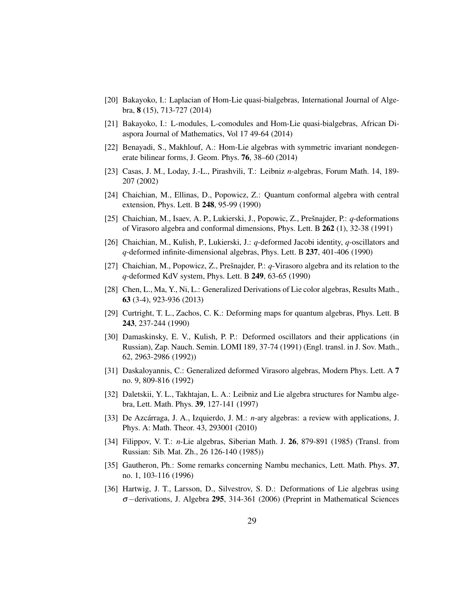- <span id="page-28-11"></span><span id="page-28-10"></span>[20] Bakayoko, I.: Laplacian of Hom-Lie quasi-bialgebras, International Journal of Algebra, 8 (15), 713-727 (2014)
- <span id="page-28-5"></span>[21] Bakayoko, I.: L-modules, L-comodules and Hom-Lie quasi-bialgebras, African Diaspora Journal of Mathematics, Vol 17 49-64 (2014)
- <span id="page-28-12"></span>[22] Benayadi, S., Makhlouf, A.: Hom-Lie algebras with symmetric invariant nondegenerate bilinear forms, J. Geom. Phys. 76, 38–60 (2014)
- <span id="page-28-0"></span>[23] Casas, J. M., Loday, J.-L., Pirashvili, T.: Leibniz *n*-algebras, Forum Math. 14, 189- 207 (2002)
- [24] Chaichian, M., Ellinas, D., Popowicz, Z.: Quantum conformal algebra with central extension, Phys. Lett. B 248, 95-99 (1990)
- [25] Chaichian, M., Isaev, A. P., Lukierski, J., Popowic, Z., Prešnajder, P.: *q*-deformations of Virasoro algebra and conformal dimensions, Phys. Lett. B 262 (1), 32-38 (1991)
- <span id="page-28-1"></span>[26] Chaichian, M., Kulish, P., Lukierski, J.: *q*-deformed Jacobi identity, *q*-oscillators and *q*-deformed infinite-dimensional algebras, Phys. Lett. B 237, 401-406 (1990)
- <span id="page-28-9"></span>[27] Chaichian, M., Popowicz, Z., Prešnajder, P.: *q*-Virasoro algebra and its relation to the *q*-deformed KdV system, Phys. Lett. B 249, 63-65 (1990)
- <span id="page-28-2"></span>[28] Chen, L., Ma, Y., Ni, L.: Generalized Derivations of Lie color algebras, Results Math., 63 (3-4), 923-936 (2013)
- [29] Curtright, T. L., Zachos, C. K.: Deforming maps for quantum algebras, Phys. Lett. B 243, 237-244 (1990)
- [30] Damaskinsky, E. V., Kulish, P. P.: Deformed oscillators and their applications (in Russian), Zap. Nauch. Semin. LOMI 189, 37-74 (1991) (Engl. transl. in J. Sov. Math., 62, 2963-2986 (1992))
- <span id="page-28-6"></span><span id="page-28-3"></span>[31] Daskaloyannis, C.: Generalized deformed Virasoro algebras, Modern Phys. Lett. A 7 no. 9, 809-816 (1992)
- [32] Daletskii, Y. L., Takhtajan, L. A.: Leibniz and Lie algebra structures for Nambu algebra, Lett. Math. Phys. 39, 127-141 (1997)
- <span id="page-28-8"></span>[33] De Azcárraga, J. A., Izquierdo, J. M.: *n*-ary algebras: a review with applications, J. Phys. A: Math. Theor. 43, 293001 (2010)
- <span id="page-28-7"></span>[34] Filippov, V. T.: *n*-Lie algebras, Siberian Math. J. 26, 879-891 (1985) (Transl. from Russian: Sib. Mat. Zh., 26 126-140 (1985))
- <span id="page-28-4"></span>[35] Gautheron, Ph.: Some remarks concerning Nambu mechanics, Lett. Math. Phys. 37, no. 1, 103-116 (1996)
- [36] Hartwig, J. T., Larsson, D., Silvestrov, S. D.: Deformations of Lie algebras using <sup>σ</sup>−derivations, J. Algebra 295, 314-361 (2006) (Preprint in Mathematical Sciences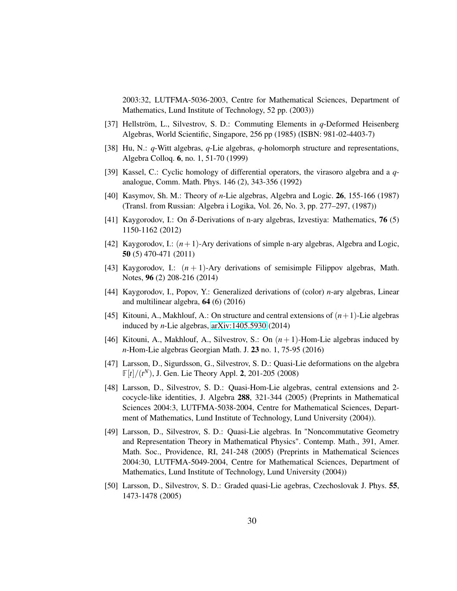2003:32, LUTFMA-5036-2003, Centre for Mathematical Sciences, Department of Mathematics, Lund Institute of Technology, 52 pp. (2003))

- <span id="page-29-2"></span><span id="page-29-0"></span>[37] Hellström, L., Silvestrov, S. D.: Commuting Elements in *q*-Deformed Heisenberg Algebras, World Scientific, Singapore, 256 pp (1985) (ISBN: 981-02-4403-7)
- <span id="page-29-1"></span>[38] Hu, N.: *q*-Witt algebras, *q*-Lie algebras, *q*-holomorph structure and representations, Algebra Colloq. 6, no. 1, 51-70 (1999)
- <span id="page-29-5"></span>[39] Kassel, C.: Cyclic homology of differential operators, the virasoro algebra and a *q*analogue, Comm. Math. Phys. 146 (2), 343-356 (1992)
- <span id="page-29-6"></span>[40] Kasymov, Sh. M.: Theory of *n*-Lie algebras, Algebra and Logic. 26, 155-166 (1987) (Transl. from Russian: Algebra i Logika, Vol. 26, No. 3, pp. 277–297, (1987))
- [41] Kaygorodov, I.: On  $\delta$ -Derivations of n-ary algebras, Izvestiya: Mathematics, 76 (5) 1150-1162 (2012)
- [42] Kaygorodov, I.:  $(n+1)$ -Ary derivations of simple n-ary algebras, Algebra and Logic, 50 (5) 470-471 (2011)
- <span id="page-29-7"></span>[43] Kaygorodov, I.:  $(n + 1)$ -Ary derivations of semisimple Filippov algebras, Math. Notes, 96 (2) 208-216 (2014)
- <span id="page-29-8"></span>[44] Kaygorodov, I., Popov, Y.: Generalized derivations of (color) *n*-ary algebras, Linear and multilinear algebra, 64 (6) (2016)
- [45] Kitouni, A., Makhlouf, A.: On structure and central extensions of  $(n+1)$ -Lie algebras induced by *n*-Lie algebras, [arXiv:1405.5930](http://arxiv.org/abs/1405.5930) (2014)
- <span id="page-29-9"></span>[46] Kitouni, A., Makhlouf, A., Silvestrov, S.: On  $(n+1)$ -Hom-Lie algebras induced by *n*-Hom-Lie algebras Georgian Math. J. 23 no. 1, 75-95 (2016)
- [47] Larsson, D., Sigurdsson, G., Silvestrov, S. D.: Quasi-Lie deformations on the algebra **F**[*t*]/(*t <sup>N</sup>*), J. Gen. Lie Theory Appl. 2, 201-205 (2008)
- <span id="page-29-3"></span>[48] Larsson, D., Silvestrov, S. D.: Quasi-Hom-Lie algebras, central extensions and 2 cocycle-like identities, J. Algebra 288, 321-344 (2005) (Preprints in Mathematical Sciences 2004:3, LUTFMA-5038-2004, Centre for Mathematical Sciences, Department of Mathematics, Lund Institute of Technology, Lund University (2004)).
- [49] Larsson, D., Silvestrov, S. D.: Quasi-Lie algebras. In "Noncommutative Geometry and Representation Theory in Mathematical Physics". Contemp. Math., 391, Amer. Math. Soc., Providence, RI, 241-248 (2005) (Preprints in Mathematical Sciences 2004:30, LUTFMA-5049-2004, Centre for Mathematical Sciences, Department of Mathematics, Lund Institute of Technology, Lund University (2004))
- <span id="page-29-4"></span>[50] Larsson, D., Silvestrov, S. D.: Graded quasi-Lie agebras, Czechoslovak J. Phys. 55, 1473-1478 (2005)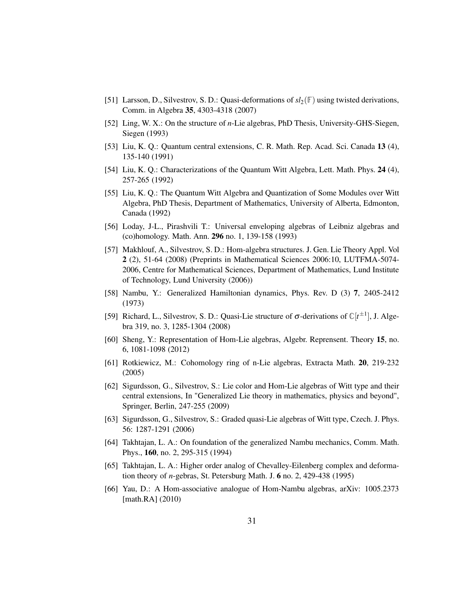- <span id="page-30-9"></span><span id="page-30-4"></span>[51] Larsson, D., Silvestrov, S. D.: Quasi-deformations of *sl*2(**F**) using twisted derivations, Comm. in Algebra 35, 4303-4318 (2007)
- <span id="page-30-0"></span>[52] Ling, W. X.: On the structure of *n*-Lie algebras, PhD Thesis, University-GHS-Siegen, Siegen (1993)
- [53] Liu, K. Q.: Quantum central extensions, C. R. Math. Rep. Acad. Sci. Canada 13 (4), 135-140 (1991)
- <span id="page-30-1"></span>[54] Liu, K. Q.: Characterizations of the Quantum Witt Algebra, Lett. Math. Phys. 24 (4), 257-265 (1992)
- [55] Liu, K. Q.: The Quantum Witt Algebra and Quantization of Some Modules over Witt Algebra, PhD Thesis, Department of Mathematics, University of Alberta, Edmonton, Canada (1992)
- <span id="page-30-3"></span>[56] Loday, J-L., Pirashvili T.: Universal enveloping algebras of Leibniz algebras and (co)homology. Math. Ann. 296 no. 1, 139-158 (1993)
- [57] Makhlouf, A., Silvestrov, S. D.: Hom-algebra structures. J. Gen. Lie Theory Appl. Vol 2 (2), 51-64 (2008) (Preprints in Mathematical Sciences 2006:10, LUTFMA-5074- 2006, Centre for Mathematical Sciences, Department of Mathematics, Lund Institute of Technology, Lund University (2006))
- [58] Nambu, Y.: Generalized Hamiltonian dynamics, Phys. Rev. D (3) 7, 2405-2412 (1973)
- [59] Richard, L., Silvestrov, S. D.: Quasi-Lie structure of  $\sigma$ -derivations of  $\mathbb{C}[t^{\pm 1}]$ , J. Algebra 319, no. 3, 1285-1304 (2008)
- <span id="page-30-8"></span><span id="page-30-5"></span>[60] Sheng, Y.: Representation of Hom-Lie algebras, Algebr. Reprensent. Theory 15, no. 6, 1081-1098 (2012)
- [61] Rotkiewicz, M.: Cohomology ring of n-Lie algebras, Extracta Math. 20, 219-232 (2005)
- [62] Sigurdsson, G., Silvestrov, S.: Lie color and Hom-Lie algebras of Witt type and their central extensions, In "Generalized Lie theory in mathematics, physics and beyond", Springer, Berlin, 247-255 (2009)
- <span id="page-30-2"></span>[63] Sigurdsson, G., Silvestrov, S.: Graded quasi-Lie algebras of Witt type, Czech. J. Phys. 56: 1287-1291 (2006)
- <span id="page-30-6"></span>[64] Takhtajan, L. A.: On foundation of the generalized Nambu mechanics, Comm. Math. Phys., 160, no. 2, 295-315 (1994)
- <span id="page-30-7"></span>[65] Takhtajan, L. A.: Higher order analog of Chevalley-Eilenberg complex and deformation theory of *n*-gebras, St. Petersburg Math. J. 6 no. 2, 429-438 (1995)
- <span id="page-30-10"></span>[66] Yau, D.: A Hom-associative analogue of Hom-Nambu algebras, arXiv: 1005.2373 [math.RA] (2010)